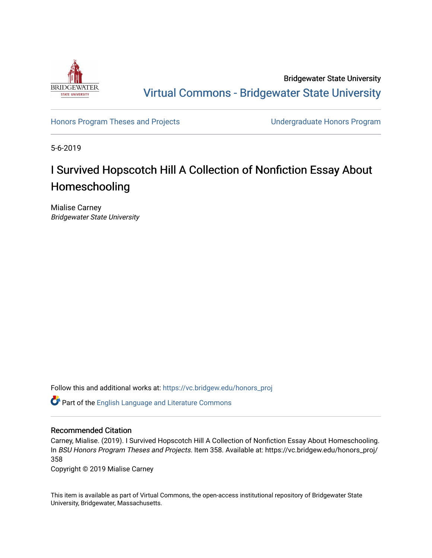

Bridgewater State University [Virtual Commons - Bridgewater State University](https://vc.bridgew.edu/) 

[Honors Program Theses and Projects](https://vc.bridgew.edu/honors_proj) [Undergraduate Honors Program](https://vc.bridgew.edu/honors) 

5-6-2019

# I Survived Hopscotch Hill A Collection of Nonfiction Essay About Homeschooling

Mialise Carney Bridgewater State University

Follow this and additional works at: [https://vc.bridgew.edu/honors\\_proj](https://vc.bridgew.edu/honors_proj?utm_source=vc.bridgew.edu%2Fhonors_proj%2F358&utm_medium=PDF&utm_campaign=PDFCoverPages)

Part of the [English Language and Literature Commons](http://network.bepress.com/hgg/discipline/455?utm_source=vc.bridgew.edu%2Fhonors_proj%2F358&utm_medium=PDF&utm_campaign=PDFCoverPages)

## Recommended Citation

Carney, Mialise. (2019). I Survived Hopscotch Hill A Collection of Nonfiction Essay About Homeschooling. In BSU Honors Program Theses and Projects. Item 358. Available at: https://vc.bridgew.edu/honors\_proj/ 358

Copyright © 2019 Mialise Carney

This item is available as part of Virtual Commons, the open-access institutional repository of Bridgewater State University, Bridgewater, Massachusetts.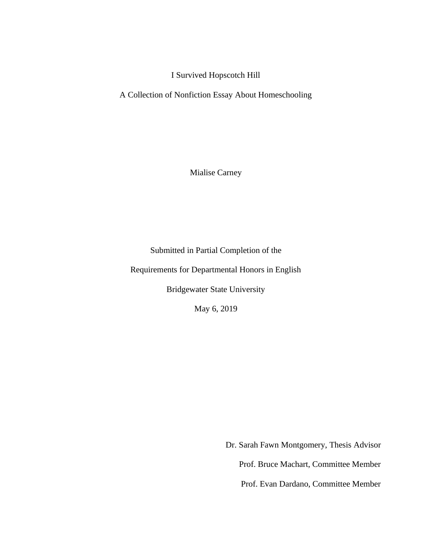I Survived Hopscotch Hill

A Collection of Nonfiction Essay About Homeschooling

Mialise Carney

Submitted in Partial Completion of the

Requirements for Departmental Honors in English

Bridgewater State University

May 6, 2019

Dr. Sarah Fawn Montgomery, Thesis Advisor Prof. Bruce Machart, Committee Member Prof. Evan Dardano, Committee Member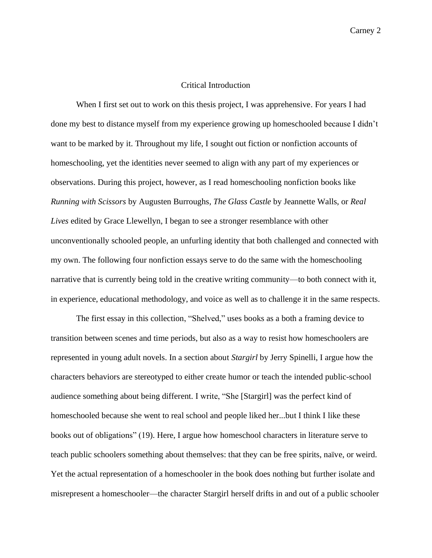## Critical Introduction

When I first set out to work on this thesis project, I was apprehensive. For years I had done my best to distance myself from my experience growing up homeschooled because I didn't want to be marked by it. Throughout my life, I sought out fiction or nonfiction accounts of homeschooling, yet the identities never seemed to align with any part of my experiences or observations. During this project, however, as I read homeschooling nonfiction books like *Running with Scissors* by Augusten Burroughs*, The Glass Castle* by Jeannette Walls, or *Real Lives* edited by Grace Llewellyn, I began to see a stronger resemblance with other unconventionally schooled people, an unfurling identity that both challenged and connected with my own. The following four nonfiction essays serve to do the same with the homeschooling narrative that is currently being told in the creative writing community—to both connect with it, in experience, educational methodology, and voice as well as to challenge it in the same respects.

The first essay in this collection, "Shelved," uses books as a both a framing device to transition between scenes and time periods, but also as a way to resist how homeschoolers are represented in young adult novels. In a section about *Stargirl* by Jerry Spinelli, I argue how the characters behaviors are stereotyped to either create humor or teach the intended public-school audience something about being different. I write, "She [Stargirl] was the perfect kind of homeschooled because she went to real school and people liked her...but I think I like these books out of obligations" (19). Here, I argue how homeschool characters in literature serve to teach public schoolers something about themselves: that they can be free spirits, naïve, or weird. Yet the actual representation of a homeschooler in the book does nothing but further isolate and misrepresent a homeschooler—the character Stargirl herself drifts in and out of a public schooler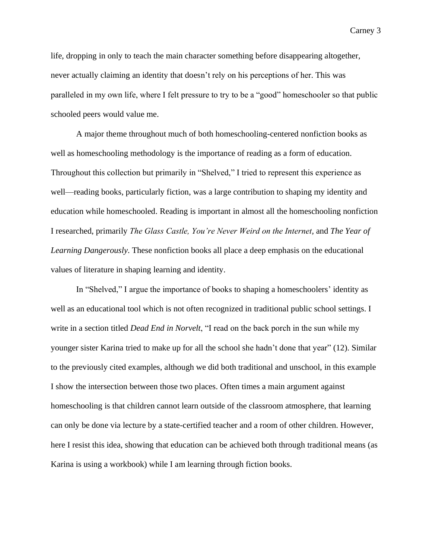life, dropping in only to teach the main character something before disappearing altogether, never actually claiming an identity that doesn't rely on his perceptions of her. This was paralleled in my own life, where I felt pressure to try to be a "good" homeschooler so that public schooled peers would value me.

A major theme throughout much of both homeschooling-centered nonfiction books as well as homeschooling methodology is the importance of reading as a form of education. Throughout this collection but primarily in "Shelved," I tried to represent this experience as well—reading books, particularly fiction, was a large contribution to shaping my identity and education while homeschooled. Reading is important in almost all the homeschooling nonfiction I researched, primarily *The Glass Castle, You're Never Weird on the Internet,* and *The Year of Learning Dangerously*. These nonfiction books all place a deep emphasis on the educational values of literature in shaping learning and identity.

In "Shelved," I argue the importance of books to shaping a homeschoolers' identity as well as an educational tool which is not often recognized in traditional public school settings. I write in a section titled *Dead End in Norvelt*, "I read on the back porch in the sun while my younger sister Karina tried to make up for all the school she hadn't done that year" (12). Similar to the previously cited examples, although we did both traditional and unschool, in this example I show the intersection between those two places. Often times a main argument against homeschooling is that children cannot learn outside of the classroom atmosphere, that learning can only be done via lecture by a state-certified teacher and a room of other children. However, here I resist this idea, showing that education can be achieved both through traditional means (as Karina is using a workbook) while I am learning through fiction books.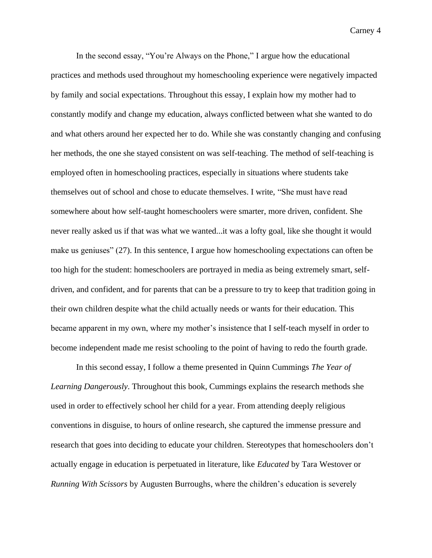In the second essay, "You're Always on the Phone," I argue how the educational practices and methods used throughout my homeschooling experience were negatively impacted by family and social expectations. Throughout this essay, I explain how my mother had to constantly modify and change my education, always conflicted between what she wanted to do and what others around her expected her to do. While she was constantly changing and confusing her methods, the one she stayed consistent on was self-teaching. The method of self-teaching is employed often in homeschooling practices, especially in situations where students take themselves out of school and chose to educate themselves. I write, "She must have read somewhere about how self-taught homeschoolers were smarter, more driven, confident. She never really asked us if that was what we wanted...it was a lofty goal, like she thought it would make us geniuses" (27). In this sentence, I argue how homeschooling expectations can often be too high for the student: homeschoolers are portrayed in media as being extremely smart, selfdriven, and confident, and for parents that can be a pressure to try to keep that tradition going in their own children despite what the child actually needs or wants for their education. This became apparent in my own, where my mother's insistence that I self-teach myself in order to become independent made me resist schooling to the point of having to redo the fourth grade.

In this second essay, I follow a theme presented in Quinn Cummings *The Year of Learning Dangerously*. Throughout this book, Cummings explains the research methods she used in order to effectively school her child for a year. From attending deeply religious conventions in disguise, to hours of online research, she captured the immense pressure and research that goes into deciding to educate your children. Stereotypes that homeschoolers don't actually engage in education is perpetuated in literature, like *Educated* by Tara Westover or *Running With Scissors* by Augusten Burroughs*,* where the children's education is severely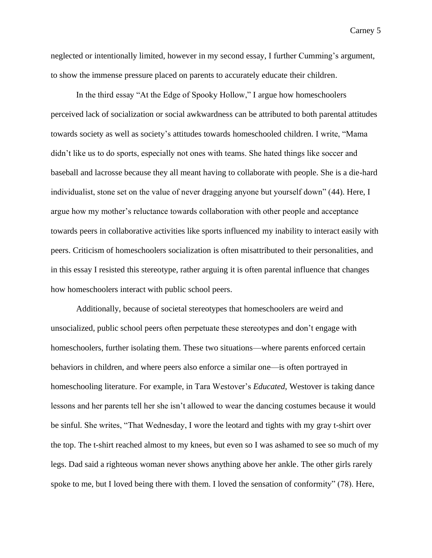neglected or intentionally limited, however in my second essay, I further Cumming's argument, to show the immense pressure placed on parents to accurately educate their children.

In the third essay "At the Edge of Spooky Hollow," I argue how homeschoolers perceived lack of socialization or social awkwardness can be attributed to both parental attitudes towards society as well as society's attitudes towards homeschooled children. I write, "Mama didn't like us to do sports, especially not ones with teams. She hated things like soccer and baseball and lacrosse because they all meant having to collaborate with people. She is a die-hard individualist, stone set on the value of never dragging anyone but yourself down" (44). Here, I argue how my mother's reluctance towards collaboration with other people and acceptance towards peers in collaborative activities like sports influenced my inability to interact easily with peers. Criticism of homeschoolers socialization is often misattributed to their personalities, and in this essay I resisted this stereotype, rather arguing it is often parental influence that changes how homeschoolers interact with public school peers.

Additionally, because of societal stereotypes that homeschoolers are weird and unsocialized, public school peers often perpetuate these stereotypes and don't engage with homeschoolers, further isolating them. These two situations—where parents enforced certain behaviors in children, and where peers also enforce a similar one—is often portrayed in homeschooling literature. For example, in Tara Westover's *Educated*, Westover is taking dance lessons and her parents tell her she isn't allowed to wear the dancing costumes because it would be sinful. She writes, "That Wednesday, I wore the leotard and tights with my gray t-shirt over the top. The t-shirt reached almost to my knees, but even so I was ashamed to see so much of my legs. Dad said a righteous woman never shows anything above her ankle. The other girls rarely spoke to me, but I loved being there with them. I loved the sensation of conformity" (78). Here,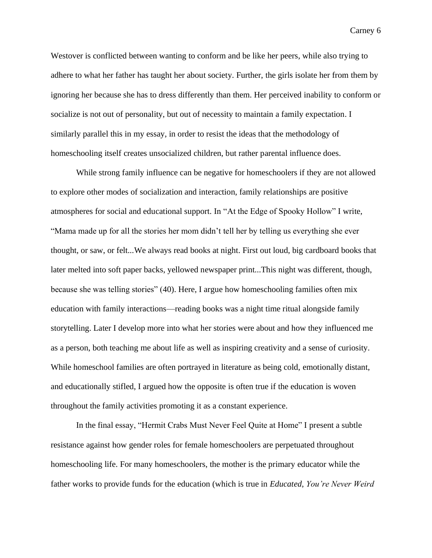Westover is conflicted between wanting to conform and be like her peers, while also trying to adhere to what her father has taught her about society. Further, the girls isolate her from them by ignoring her because she has to dress differently than them. Her perceived inability to conform or socialize is not out of personality, but out of necessity to maintain a family expectation. I similarly parallel this in my essay, in order to resist the ideas that the methodology of homeschooling itself creates unsocialized children, but rather parental influence does.

While strong family influence can be negative for homeschoolers if they are not allowed to explore other modes of socialization and interaction, family relationships are positive atmospheres for social and educational support. In "At the Edge of Spooky Hollow" I write, "Mama made up for all the stories her mom didn't tell her by telling us everything she ever thought, or saw, or felt...We always read books at night. First out loud, big cardboard books that later melted into soft paper backs, yellowed newspaper print...This night was different, though, because she was telling stories" (40). Here, I argue how homeschooling families often mix education with family interactions—reading books was a night time ritual alongside family storytelling. Later I develop more into what her stories were about and how they influenced me as a person, both teaching me about life as well as inspiring creativity and a sense of curiosity. While homeschool families are often portrayed in literature as being cold, emotionally distant, and educationally stifled, I argued how the opposite is often true if the education is woven throughout the family activities promoting it as a constant experience.

In the final essay, "Hermit Crabs Must Never Feel Quite at Home" I present a subtle resistance against how gender roles for female homeschoolers are perpetuated throughout homeschooling life. For many homeschoolers, the mother is the primary educator while the father works to provide funds for the education (which is true in *Educated*, *You're Never Weird*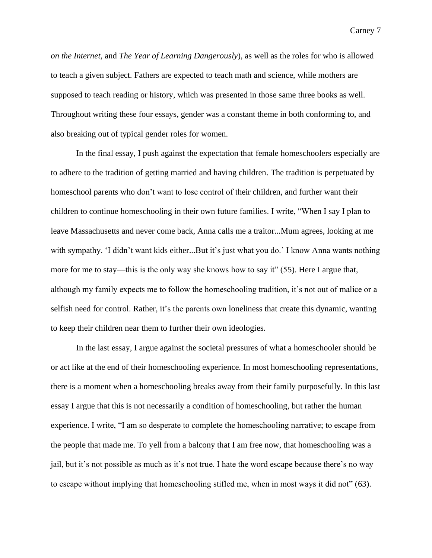*on the Internet*, and *The Year of Learning Dangerously*), as well as the roles for who is allowed to teach a given subject. Fathers are expected to teach math and science, while mothers are supposed to teach reading or history, which was presented in those same three books as well. Throughout writing these four essays, gender was a constant theme in both conforming to, and also breaking out of typical gender roles for women.

In the final essay, I push against the expectation that female homeschoolers especially are to adhere to the tradition of getting married and having children. The tradition is perpetuated by homeschool parents who don't want to lose control of their children, and further want their children to continue homeschooling in their own future families. I write, "When I say I plan to leave Massachusetts and never come back, Anna calls me a traitor...Mum agrees, looking at me with sympathy. 'I didn't want kids either...But it's just what you do.' I know Anna wants nothing more for me to stay—this is the only way she knows how to say it" (55). Here I argue that, although my family expects me to follow the homeschooling tradition, it's not out of malice or a selfish need for control. Rather, it's the parents own loneliness that create this dynamic, wanting to keep their children near them to further their own ideologies.

In the last essay, I argue against the societal pressures of what a homeschooler should be or act like at the end of their homeschooling experience. In most homeschooling representations, there is a moment when a homeschooling breaks away from their family purposefully. In this last essay I argue that this is not necessarily a condition of homeschooling, but rather the human experience. I write, "I am so desperate to complete the homeschooling narrative; to escape from the people that made me. To yell from a balcony that I am free now, that homeschooling was a jail, but it's not possible as much as it's not true. I hate the word escape because there's no way to escape without implying that homeschooling stifled me, when in most ways it did not" (63).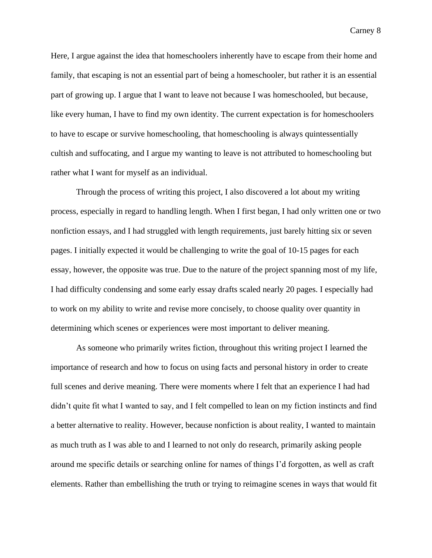Here, I argue against the idea that homeschoolers inherently have to escape from their home and family, that escaping is not an essential part of being a homeschooler, but rather it is an essential part of growing up. I argue that I want to leave not because I was homeschooled, but because, like every human, I have to find my own identity. The current expectation is for homeschoolers to have to escape or survive homeschooling, that homeschooling is always quintessentially cultish and suffocating, and I argue my wanting to leave is not attributed to homeschooling but rather what I want for myself as an individual.

Through the process of writing this project, I also discovered a lot about my writing process, especially in regard to handling length. When I first began, I had only written one or two nonfiction essays, and I had struggled with length requirements, just barely hitting six or seven pages. I initially expected it would be challenging to write the goal of 10-15 pages for each essay, however, the opposite was true. Due to the nature of the project spanning most of my life, I had difficulty condensing and some early essay drafts scaled nearly 20 pages. I especially had to work on my ability to write and revise more concisely, to choose quality over quantity in determining which scenes or experiences were most important to deliver meaning.

As someone who primarily writes fiction, throughout this writing project I learned the importance of research and how to focus on using facts and personal history in order to create full scenes and derive meaning. There were moments where I felt that an experience I had had didn't quite fit what I wanted to say, and I felt compelled to lean on my fiction instincts and find a better alternative to reality. However, because nonfiction is about reality, I wanted to maintain as much truth as I was able to and I learned to not only do research, primarily asking people around me specific details or searching online for names of things I'd forgotten, as well as craft elements. Rather than embellishing the truth or trying to reimagine scenes in ways that would fit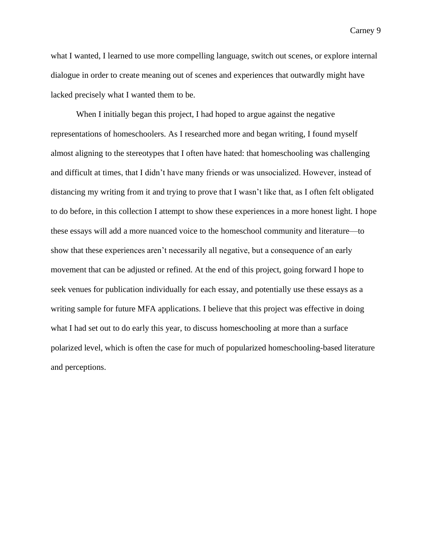what I wanted, I learned to use more compelling language, switch out scenes, or explore internal dialogue in order to create meaning out of scenes and experiences that outwardly might have lacked precisely what I wanted them to be.

When I initially began this project, I had hoped to argue against the negative representations of homeschoolers. As I researched more and began writing, I found myself almost aligning to the stereotypes that I often have hated: that homeschooling was challenging and difficult at times, that I didn't have many friends or was unsocialized. However, instead of distancing my writing from it and trying to prove that I wasn't like that, as I often felt obligated to do before, in this collection I attempt to show these experiences in a more honest light. I hope these essays will add a more nuanced voice to the homeschool community and literature—to show that these experiences aren't necessarily all negative, but a consequence of an early movement that can be adjusted or refined. At the end of this project, going forward I hope to seek venues for publication individually for each essay, and potentially use these essays as a writing sample for future MFA applications. I believe that this project was effective in doing what I had set out to do early this year, to discuss homeschooling at more than a surface polarized level, which is often the case for much of popularized homeschooling-based literature and perceptions.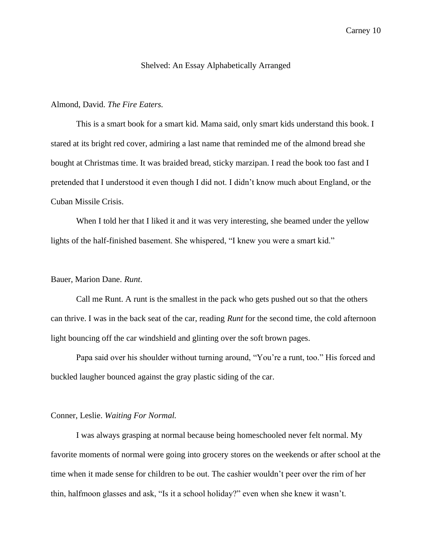## Shelved: An Essay Alphabetically Arranged

## Almond, David. *The Fire Eaters.*

This is a smart book for a smart kid. Mama said, only smart kids understand this book. I stared at its bright red cover, admiring a last name that reminded me of the almond bread she bought at Christmas time. It was braided bread, sticky marzipan. I read the book too fast and I pretended that I understood it even though I did not. I didn't know much about England, or the Cuban Missile Crisis.

When I told her that I liked it and it was very interesting, she beamed under the yellow lights of the half-finished basement. She whispered, "I knew you were a smart kid."

## Bauer, Marion Dane. *Runt*.

Call me Runt. A runt is the smallest in the pack who gets pushed out so that the others can thrive. I was in the back seat of the car, reading *Runt* for the second time, the cold afternoon light bouncing off the car windshield and glinting over the soft brown pages.

Papa said over his shoulder without turning around, "You're a runt, too." His forced and buckled laugher bounced against the gray plastic siding of the car.

## Conner, Leslie. *Waiting For Normal.*

I was always grasping at normal because being homeschooled never felt normal. My favorite moments of normal were going into grocery stores on the weekends or after school at the time when it made sense for children to be out. The cashier wouldn't peer over the rim of her thin, halfmoon glasses and ask, "Is it a school holiday?" even when she knew it wasn't.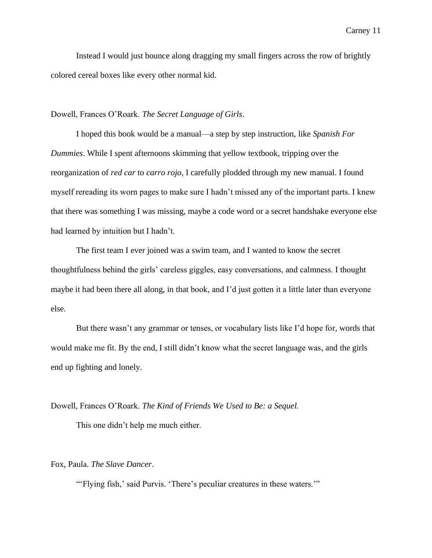Instead I would just bounce along dragging my small fingers across the row of brightly colored cereal boxes like every other normal kid.

## Dowell, Frances O'Roark. *The Secret Language of Girls*.

I hoped this book would be a manual—a step by step instruction, like *Spanish For Dummies*. While I spent afternoons skimming that yellow textbook, tripping over the reorganization of *red car* to *carro rojo*, I carefully plodded through my new manual. I found myself rereading its worn pages to make sure I hadn't missed any of the important parts. I knew that there was something I was missing, maybe a code word or a secret handshake everyone else had learned by intuition but I hadn't.

The first team I ever joined was a swim team, and I wanted to know the secret thoughtfulness behind the girls' careless giggles, easy conversations, and calmness. I thought maybe it had been there all along, in that book, and I'd just gotten it a little later than everyone else.

But there wasn't any grammar or tenses, or vocabulary lists like I'd hope for, words that would make me fit. By the end, I still didn't know what the secret language was, and the girls end up fighting and lonely.

Dowell, Frances O'Roark. *The Kind of Friends We Used to Be: a Sequel.*

This one didn't help me much either.

Fox, Paula. *The Slave Dancer*.

"'Flying fish,' said Purvis. 'There's peculiar creatures in these waters.'"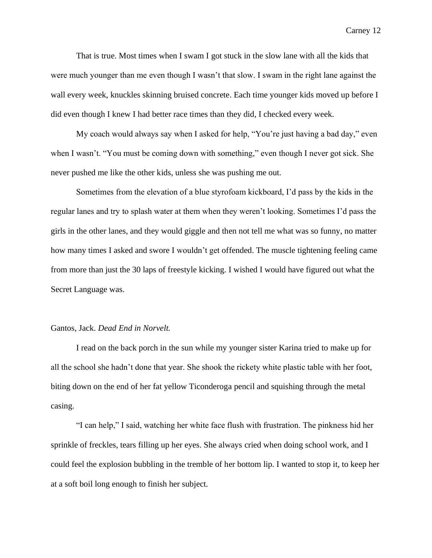That is true. Most times when I swam I got stuck in the slow lane with all the kids that were much younger than me even though I wasn't that slow. I swam in the right lane against the wall every week, knuckles skinning bruised concrete. Each time younger kids moved up before I did even though I knew I had better race times than they did, I checked every week.

My coach would always say when I asked for help, "You're just having a bad day," even when I wasn't. "You must be coming down with something," even though I never got sick. She never pushed me like the other kids, unless she was pushing me out.

Sometimes from the elevation of a blue styrofoam kickboard, I'd pass by the kids in the regular lanes and try to splash water at them when they weren't looking. Sometimes I'd pass the girls in the other lanes, and they would giggle and then not tell me what was so funny, no matter how many times I asked and swore I wouldn't get offended. The muscle tightening feeling came from more than just the 30 laps of freestyle kicking. I wished I would have figured out what the Secret Language was.

#### Gantos, Jack. *Dead End in Norvelt.*

I read on the back porch in the sun while my younger sister Karina tried to make up for all the school she hadn't done that year. She shook the rickety white plastic table with her foot, biting down on the end of her fat yellow Ticonderoga pencil and squishing through the metal casing.

"I can help," I said, watching her white face flush with frustration. The pinkness hid her sprinkle of freckles, tears filling up her eyes. She always cried when doing school work, and I could feel the explosion bubbling in the tremble of her bottom lip. I wanted to stop it, to keep her at a soft boil long enough to finish her subject.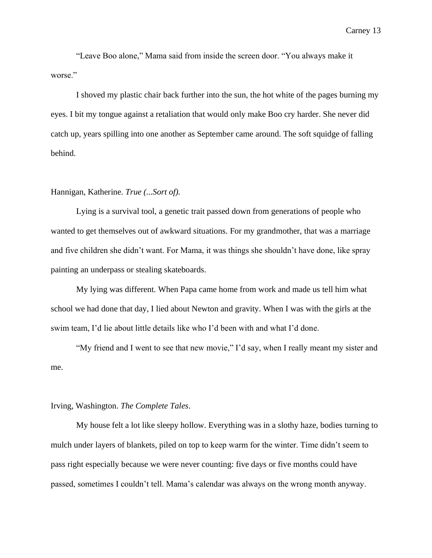"Leave Boo alone," Mama said from inside the screen door. "You always make it worse."

I shoved my plastic chair back further into the sun, the hot white of the pages burning my eyes. I bit my tongue against a retaliation that would only make Boo cry harder. She never did catch up, years spilling into one another as September came around. The soft squidge of falling behind.

## Hannigan, Katherine. *True (...Sort of).*

Lying is a survival tool, a genetic trait passed down from generations of people who wanted to get themselves out of awkward situations. For my grandmother, that was a marriage and five children she didn't want. For Mama, it was things she shouldn't have done, like spray painting an underpass or stealing skateboards.

My lying was different. When Papa came home from work and made us tell him what school we had done that day, I lied about Newton and gravity. When I was with the girls at the swim team, I'd lie about little details like who I'd been with and what I'd done.

"My friend and I went to see that new movie," I'd say, when I really meant my sister and me.

## Irving, Washington. *The Complete Tales*.

My house felt a lot like sleepy hollow. Everything was in a slothy haze, bodies turning to mulch under layers of blankets, piled on top to keep warm for the winter. Time didn't seem to pass right especially because we were never counting: five days or five months could have passed, sometimes I couldn't tell. Mama's calendar was always on the wrong month anyway.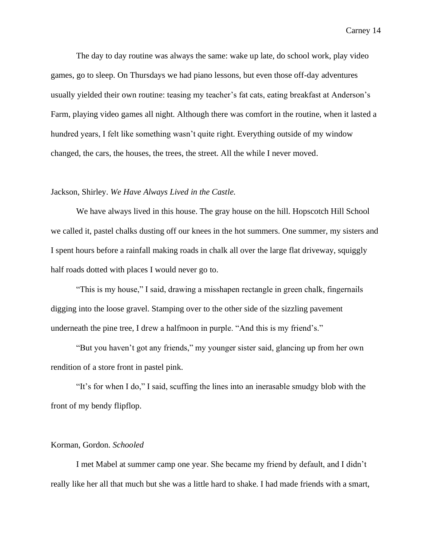The day to day routine was always the same: wake up late, do school work, play video games, go to sleep. On Thursdays we had piano lessons, but even those off-day adventures usually yielded their own routine: teasing my teacher's fat cats, eating breakfast at Anderson's Farm, playing video games all night. Although there was comfort in the routine, when it lasted a hundred years, I felt like something wasn't quite right. Everything outside of my window changed, the cars, the houses, the trees, the street. All the while I never moved.

## Jackson, Shirley. *We Have Always Lived in the Castle.*

We have always lived in this house. The gray house on the hill. Hopscotch Hill School we called it, pastel chalks dusting off our knees in the hot summers. One summer, my sisters and I spent hours before a rainfall making roads in chalk all over the large flat driveway, squiggly half roads dotted with places I would never go to.

"This is my house," I said, drawing a misshapen rectangle in green chalk, fingernails digging into the loose gravel. Stamping over to the other side of the sizzling pavement underneath the pine tree, I drew a halfmoon in purple. "And this is my friend's."

"But you haven't got any friends," my younger sister said, glancing up from her own rendition of a store front in pastel pink.

"It's for when I do," I said, scuffing the lines into an inerasable smudgy blob with the front of my bendy flipflop.

#### Korman, Gordon. *Schooled*

I met Mabel at summer camp one year. She became my friend by default, and I didn't really like her all that much but she was a little hard to shake. I had made friends with a smart,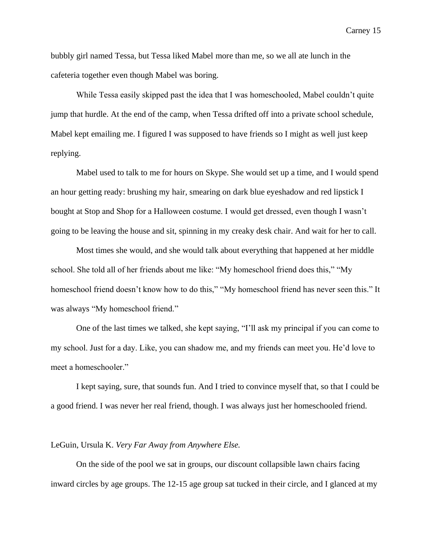bubbly girl named Tessa, but Tessa liked Mabel more than me, so we all ate lunch in the cafeteria together even though Mabel was boring.

While Tessa easily skipped past the idea that I was homeschooled, Mabel couldn't quite jump that hurdle. At the end of the camp, when Tessa drifted off into a private school schedule, Mabel kept emailing me. I figured I was supposed to have friends so I might as well just keep replying.

Mabel used to talk to me for hours on Skype. She would set up a time, and I would spend an hour getting ready: brushing my hair, smearing on dark blue eyeshadow and red lipstick I bought at Stop and Shop for a Halloween costume. I would get dressed, even though I wasn't going to be leaving the house and sit, spinning in my creaky desk chair. And wait for her to call.

Most times she would, and she would talk about everything that happened at her middle school. She told all of her friends about me like: "My homeschool friend does this," "My homeschool friend doesn't know how to do this," "My homeschool friend has never seen this." It was always "My homeschool friend."

One of the last times we talked, she kept saying, "I'll ask my principal if you can come to my school. Just for a day. Like, you can shadow me, and my friends can meet you. He'd love to meet a homeschooler."

I kept saying, sure, that sounds fun. And I tried to convince myself that, so that I could be a good friend. I was never her real friend, though. I was always just her homeschooled friend.

#### LeGuin, Ursula K. *Very Far Away from Anywhere Else.*

On the side of the pool we sat in groups, our discount collapsible lawn chairs facing inward circles by age groups. The 12-15 age group sat tucked in their circle, and I glanced at my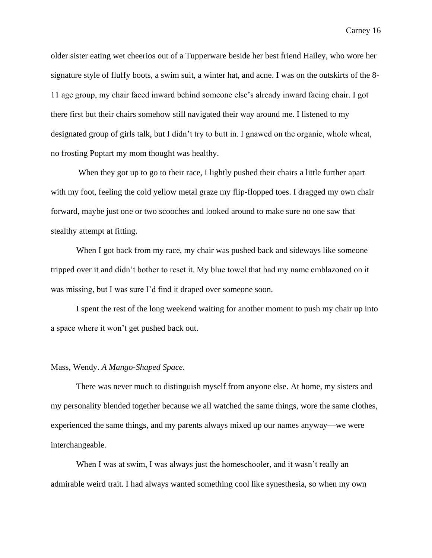older sister eating wet cheerios out of a Tupperware beside her best friend Hailey, who wore her signature style of fluffy boots, a swim suit, a winter hat, and acne. I was on the outskirts of the 8- 11 age group, my chair faced inward behind someone else's already inward facing chair. I got there first but their chairs somehow still navigated their way around me. I listened to my designated group of girls talk, but I didn't try to butt in. I gnawed on the organic, whole wheat, no frosting Poptart my mom thought was healthy.

When they got up to go to their race, I lightly pushed their chairs a little further apart with my foot, feeling the cold yellow metal graze my flip-flopped toes. I dragged my own chair forward, maybe just one or two scooches and looked around to make sure no one saw that stealthy attempt at fitting.

When I got back from my race, my chair was pushed back and sideways like someone tripped over it and didn't bother to reset it. My blue towel that had my name emblazoned on it was missing, but I was sure I'd find it draped over someone soon.

I spent the rest of the long weekend waiting for another moment to push my chair up into a space where it won't get pushed back out.

## Mass, Wendy. *A Mango-Shaped Space*.

There was never much to distinguish myself from anyone else. At home, my sisters and my personality blended together because we all watched the same things, wore the same clothes, experienced the same things, and my parents always mixed up our names anyway—we were interchangeable.

When I was at swim, I was always just the homeschooler, and it wasn't really an admirable weird trait. I had always wanted something cool like synesthesia, so when my own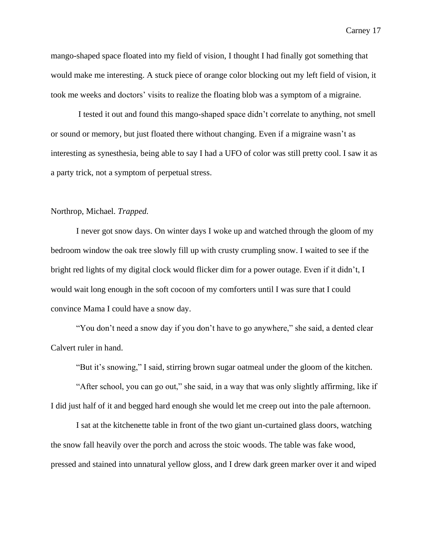mango-shaped space floated into my field of vision, I thought I had finally got something that would make me interesting. A stuck piece of orange color blocking out my left field of vision, it took me weeks and doctors' visits to realize the floating blob was a symptom of a migraine.

I tested it out and found this mango-shaped space didn't correlate to anything, not smell or sound or memory, but just floated there without changing. Even if a migraine wasn't as interesting as synesthesia, being able to say I had a UFO of color was still pretty cool. I saw it as a party trick, not a symptom of perpetual stress.

## Northrop, Michael. *Trapped.*

I never got snow days. On winter days I woke up and watched through the gloom of my bedroom window the oak tree slowly fill up with crusty crumpling snow. I waited to see if the bright red lights of my digital clock would flicker dim for a power outage. Even if it didn't, I would wait long enough in the soft cocoon of my comforters until I was sure that I could convince Mama I could have a snow day.

"You don't need a snow day if you don't have to go anywhere," she said, a dented clear Calvert ruler in hand.

"But it's snowing," I said, stirring brown sugar oatmeal under the gloom of the kitchen.

"After school, you can go out," she said, in a way that was only slightly affirming, like if I did just half of it and begged hard enough she would let me creep out into the pale afternoon.

I sat at the kitchenette table in front of the two giant un-curtained glass doors, watching the snow fall heavily over the porch and across the stoic woods. The table was fake wood, pressed and stained into unnatural yellow gloss, and I drew dark green marker over it and wiped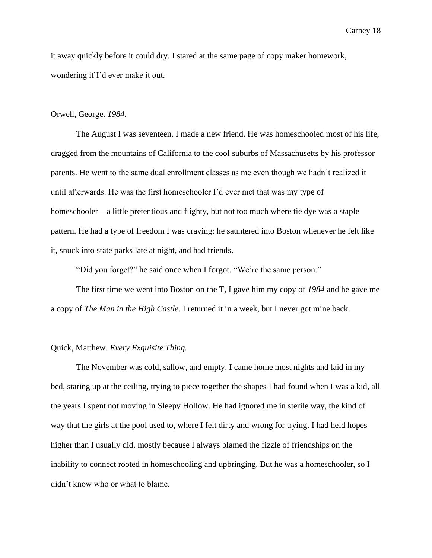it away quickly before it could dry. I stared at the same page of copy maker homework, wondering if I'd ever make it out.

## Orwell, George. *1984.*

The August I was seventeen, I made a new friend. He was homeschooled most of his life, dragged from the mountains of California to the cool suburbs of Massachusetts by his professor parents. He went to the same dual enrollment classes as me even though we hadn't realized it until afterwards. He was the first homeschooler I'd ever met that was my type of homeschooler—a little pretentious and flighty, but not too much where tie dye was a staple pattern. He had a type of freedom I was craving; he sauntered into Boston whenever he felt like it, snuck into state parks late at night, and had friends.

"Did you forget?" he said once when I forgot. "We're the same person."

The first time we went into Boston on the T, I gave him my copy of *1984* and he gave me a copy of *The Man in the High Castle*. I returned it in a week, but I never got mine back.

# Quick, Matthew. *Every Exquisite Thing.*

The November was cold, sallow, and empty. I came home most nights and laid in my bed, staring up at the ceiling, trying to piece together the shapes I had found when I was a kid, all the years I spent not moving in Sleepy Hollow. He had ignored me in sterile way, the kind of way that the girls at the pool used to, where I felt dirty and wrong for trying. I had held hopes higher than I usually did, mostly because I always blamed the fizzle of friendships on the inability to connect rooted in homeschooling and upbringing. But he was a homeschooler, so I didn't know who or what to blame.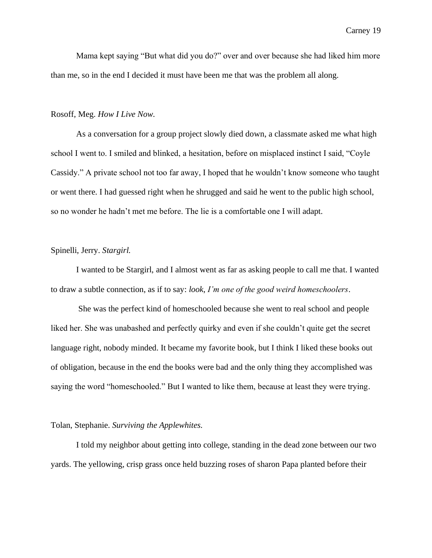Mama kept saying "But what did you do?" over and over because she had liked him more than me, so in the end I decided it must have been me that was the problem all along.

## Rosoff, Meg. *How I Live Now.*

As a conversation for a group project slowly died down, a classmate asked me what high school I went to. I smiled and blinked, a hesitation, before on misplaced instinct I said, "Coyle Cassidy." A private school not too far away, I hoped that he wouldn't know someone who taught or went there. I had guessed right when he shrugged and said he went to the public high school, so no wonder he hadn't met me before. The lie is a comfortable one I will adapt.

## Spinelli, Jerry. *Stargirl.*

I wanted to be Stargirl, and I almost went as far as asking people to call me that. I wanted to draw a subtle connection, as if to say: *look*, *I'm one of the good weird homeschoolers*.

She was the perfect kind of homeschooled because she went to real school and people liked her. She was unabashed and perfectly quirky and even if she couldn't quite get the secret language right, nobody minded. It became my favorite book, but I think I liked these books out of obligation, because in the end the books were bad and the only thing they accomplished was saying the word "homeschooled." But I wanted to like them, because at least they were trying.

## Tolan, Stephanie. *Surviving the Applewhites.*

I told my neighbor about getting into college, standing in the dead zone between our two yards. The yellowing, crisp grass once held buzzing roses of sharon Papa planted before their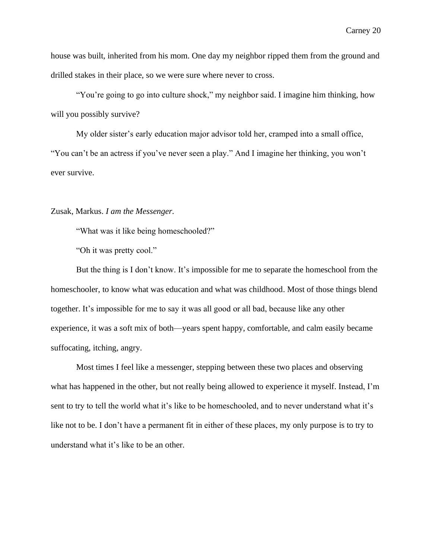house was built, inherited from his mom. One day my neighbor ripped them from the ground and drilled stakes in their place, so we were sure where never to cross.

"You're going to go into culture shock," my neighbor said. I imagine him thinking, how will you possibly survive?

My older sister's early education major advisor told her, cramped into a small office, "You can't be an actress if you've never seen a play." And I imagine her thinking, you won't ever survive.

## Zusak, Markus. *I am the Messenger.*

"What was it like being homeschooled?"

"Oh it was pretty cool."

But the thing is I don't know. It's impossible for me to separate the homeschool from the homeschooler, to know what was education and what was childhood. Most of those things blend together. It's impossible for me to say it was all good or all bad, because like any other experience, it was a soft mix of both—years spent happy, comfortable, and calm easily became suffocating, itching, angry.

Most times I feel like a messenger, stepping between these two places and observing what has happened in the other, but not really being allowed to experience it myself. Instead, I'm sent to try to tell the world what it's like to be homeschooled, and to never understand what it's like not to be. I don't have a permanent fit in either of these places, my only purpose is to try to understand what it's like to be an other.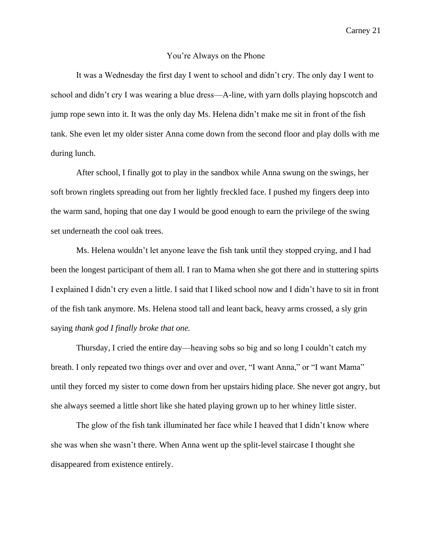#### You're Always on the Phone

It was a Wednesday the first day I went to school and didn't cry. The only day I went to school and didn't cry I was wearing a blue dress—A-line, with yarn dolls playing hopscotch and jump rope sewn into it. It was the only day Ms. Helena didn't make me sit in front of the fish tank. She even let my older sister Anna come down from the second floor and play dolls with me during lunch.

After school, I finally got to play in the sandbox while Anna swung on the swings, her soft brown ringlets spreading out from her lightly freckled face. I pushed my fingers deep into the warm sand, hoping that one day I would be good enough to earn the privilege of the swing set underneath the cool oak trees.

Ms. Helena wouldn't let anyone leave the fish tank until they stopped crying, and I had been the longest participant of them all. I ran to Mama when she got there and in stuttering spirts I explained I didn't cry even a little. I said that I liked school now and I didn't have to sit in front of the fish tank anymore. Ms. Helena stood tall and leant back, heavy arms crossed, a sly grin saying *thank god I finally broke that one.*

Thursday, I cried the entire day––heaving sobs so big and so long I couldn't catch my breath. I only repeated two things over and over and over, "I want Anna," or "I want Mama" until they forced my sister to come down from her upstairs hiding place. She never got angry, but she always seemed a little short like she hated playing grown up to her whiney little sister.

The glow of the fish tank illuminated her face while I heaved that I didn't know where she was when she wasn't there. When Anna went up the split-level staircase I thought she disappeared from existence entirely.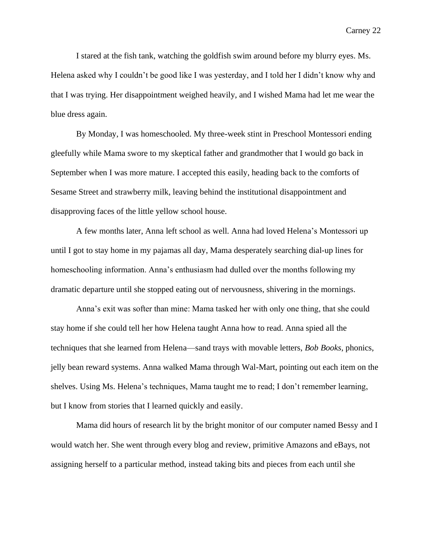I stared at the fish tank, watching the goldfish swim around before my blurry eyes. Ms. Helena asked why I couldn't be good like I was yesterday, and I told her I didn't know why and that I was trying. Her disappointment weighed heavily, and I wished Mama had let me wear the blue dress again.

By Monday, I was homeschooled. My three-week stint in Preschool Montessori ending gleefully while Mama swore to my skeptical father and grandmother that I would go back in September when I was more mature. I accepted this easily, heading back to the comforts of Sesame Street and strawberry milk, leaving behind the institutional disappointment and disapproving faces of the little yellow school house.

A few months later, Anna left school as well. Anna had loved Helena's Montessori up until I got to stay home in my pajamas all day, Mama desperately searching dial-up lines for homeschooling information. Anna's enthusiasm had dulled over the months following my dramatic departure until she stopped eating out of nervousness, shivering in the mornings.

Anna's exit was softer than mine: Mama tasked her with only one thing, that she could stay home if she could tell her how Helena taught Anna how to read. Anna spied all the techniques that she learned from Helena—sand trays with movable letters, *Bob Books*, phonics, jelly bean reward systems. Anna walked Mama through Wal-Mart, pointing out each item on the shelves. Using Ms. Helena's techniques, Mama taught me to read; I don't remember learning, but I know from stories that I learned quickly and easily.

Mama did hours of research lit by the bright monitor of our computer named Bessy and I would watch her. She went through every blog and review, primitive Amazons and eBays, not assigning herself to a particular method, instead taking bits and pieces from each until she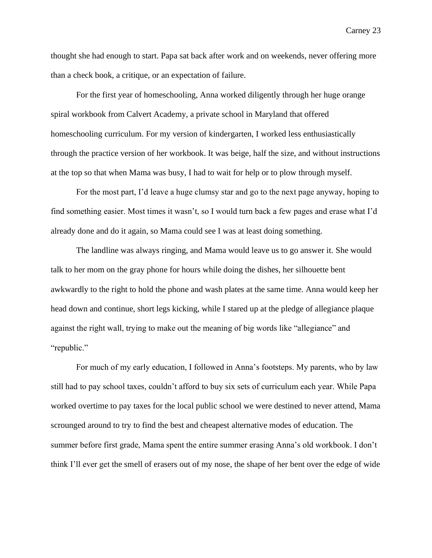thought she had enough to start. Papa sat back after work and on weekends, never offering more than a check book, a critique, or an expectation of failure.

For the first year of homeschooling, Anna worked diligently through her huge orange spiral workbook from Calvert Academy, a private school in Maryland that offered homeschooling curriculum. For my version of kindergarten, I worked less enthusiastically through the practice version of her workbook. It was beige, half the size, and without instructions at the top so that when Mama was busy, I had to wait for help or to plow through myself.

For the most part, I'd leave a huge clumsy star and go to the next page anyway, hoping to find something easier. Most times it wasn't, so I would turn back a few pages and erase what I'd already done and do it again, so Mama could see I was at least doing something.

The landline was always ringing, and Mama would leave us to go answer it. She would talk to her mom on the gray phone for hours while doing the dishes, her silhouette bent awkwardly to the right to hold the phone and wash plates at the same time. Anna would keep her head down and continue, short legs kicking, while I stared up at the pledge of allegiance plaque against the right wall, trying to make out the meaning of big words like "allegiance" and "republic."

For much of my early education, I followed in Anna's footsteps. My parents, who by law still had to pay school taxes, couldn't afford to buy six sets of curriculum each year. While Papa worked overtime to pay taxes for the local public school we were destined to never attend, Mama scrounged around to try to find the best and cheapest alternative modes of education. The summer before first grade, Mama spent the entire summer erasing Anna's old workbook. I don't think I'll ever get the smell of erasers out of my nose, the shape of her bent over the edge of wide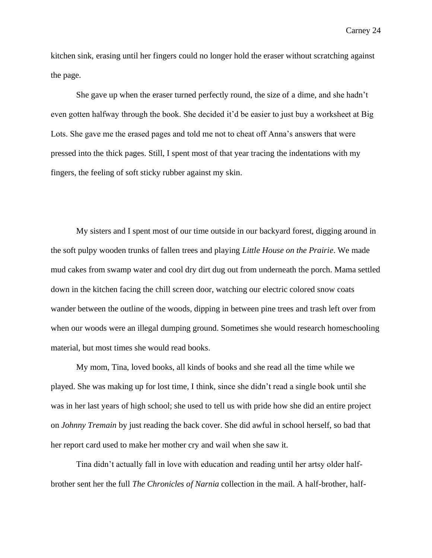kitchen sink, erasing until her fingers could no longer hold the eraser without scratching against the page.

She gave up when the eraser turned perfectly round, the size of a dime, and she hadn't even gotten halfway through the book. She decided it'd be easier to just buy a worksheet at Big Lots. She gave me the erased pages and told me not to cheat off Anna's answers that were pressed into the thick pages. Still, I spent most of that year tracing the indentations with my fingers, the feeling of soft sticky rubber against my skin.

My sisters and I spent most of our time outside in our backyard forest, digging around in the soft pulpy wooden trunks of fallen trees and playing *Little House on the Prairie*. We made mud cakes from swamp water and cool dry dirt dug out from underneath the porch. Mama settled down in the kitchen facing the chill screen door, watching our electric colored snow coats wander between the outline of the woods, dipping in between pine trees and trash left over from when our woods were an illegal dumping ground. Sometimes she would research homeschooling material, but most times she would read books.

My mom, Tina, loved books, all kinds of books and she read all the time while we played. She was making up for lost time, I think, since she didn't read a single book until she was in her last years of high school; she used to tell us with pride how she did an entire project on *Johnny Tremain* by just reading the back cover. She did awful in school herself, so bad that her report card used to make her mother cry and wail when she saw it.

Tina didn't actually fall in love with education and reading until her artsy older halfbrother sent her the full *The Chronicles of Narnia* collection in the mail. A half-brother, half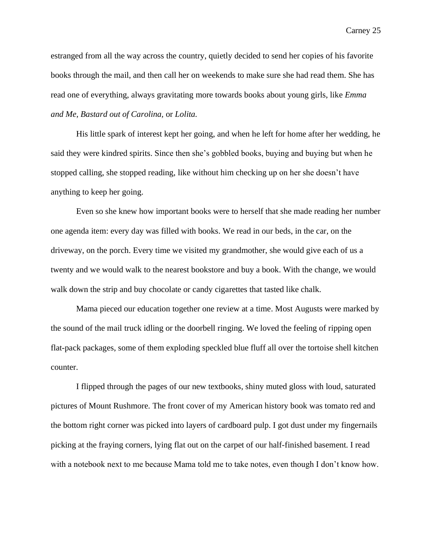estranged from all the way across the country, quietly decided to send her copies of his favorite books through the mail, and then call her on weekends to make sure she had read them. She has read one of everything, always gravitating more towards books about young girls, like *Emma and Me, Bastard out of Carolina,* or *Lolita.* 

His little spark of interest kept her going, and when he left for home after her wedding, he said they were kindred spirits. Since then she's gobbled books, buying and buying but when he stopped calling, she stopped reading, like without him checking up on her she doesn't have anything to keep her going.

Even so she knew how important books were to herself that she made reading her number one agenda item: every day was filled with books. We read in our beds, in the car, on the driveway, on the porch. Every time we visited my grandmother, she would give each of us a twenty and we would walk to the nearest bookstore and buy a book. With the change, we would walk down the strip and buy chocolate or candy cigarettes that tasted like chalk.

Mama pieced our education together one review at a time. Most Augusts were marked by the sound of the mail truck idling or the doorbell ringing. We loved the feeling of ripping open flat-pack packages, some of them exploding speckled blue fluff all over the tortoise shell kitchen counter.

I flipped through the pages of our new textbooks, shiny muted gloss with loud, saturated pictures of Mount Rushmore. The front cover of my American history book was tomato red and the bottom right corner was picked into layers of cardboard pulp. I got dust under my fingernails picking at the fraying corners, lying flat out on the carpet of our half-finished basement. I read with a notebook next to me because Mama told me to take notes, even though I don't know how.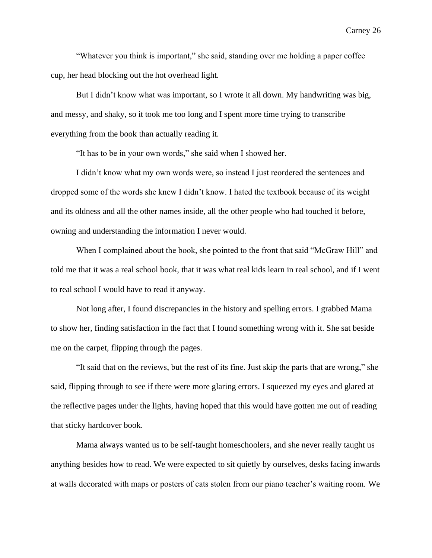"Whatever you think is important," she said, standing over me holding a paper coffee cup, her head blocking out the hot overhead light.

But I didn't know what was important, so I wrote it all down. My handwriting was big, and messy, and shaky, so it took me too long and I spent more time trying to transcribe everything from the book than actually reading it.

"It has to be in your own words," she said when I showed her.

I didn't know what my own words were, so instead I just reordered the sentences and dropped some of the words she knew I didn't know. I hated the textbook because of its weight and its oldness and all the other names inside, all the other people who had touched it before, owning and understanding the information I never would.

When I complained about the book, she pointed to the front that said "McGraw Hill" and told me that it was a real school book, that it was what real kids learn in real school, and if I went to real school I would have to read it anyway.

Not long after, I found discrepancies in the history and spelling errors. I grabbed Mama to show her, finding satisfaction in the fact that I found something wrong with it. She sat beside me on the carpet, flipping through the pages.

"It said that on the reviews, but the rest of its fine. Just skip the parts that are wrong," she said, flipping through to see if there were more glaring errors. I squeezed my eyes and glared at the reflective pages under the lights, having hoped that this would have gotten me out of reading that sticky hardcover book.

Mama always wanted us to be self-taught homeschoolers, and she never really taught us anything besides how to read. We were expected to sit quietly by ourselves, desks facing inwards at walls decorated with maps or posters of cats stolen from our piano teacher's waiting room. We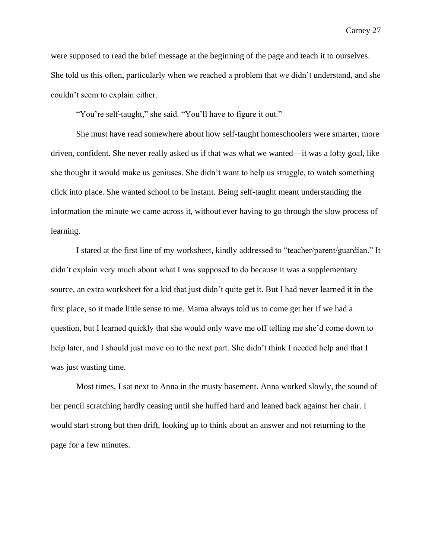were supposed to read the brief message at the beginning of the page and teach it to ourselves. She told us this often, particularly when we reached a problem that we didn't understand, and she couldn't seem to explain either.

"You're self-taught," she said. "You'll have to figure it out."

She must have read somewhere about how self-taught homeschoolers were smarter, more driven, confident. She never really asked us if that was what we wanted—it was a lofty goal, like she thought it would make us geniuses. She didn't want to help us struggle, to watch something click into place. She wanted school to be instant. Being self-taught meant understanding the information the minute we came across it, without ever having to go through the slow process of learning.

I stared at the first line of my worksheet, kindly addressed to "teacher/parent/guardian." It didn't explain very much about what I was supposed to do because it was a supplementary source, an extra worksheet for a kid that just didn't quite get it. But I had never learned it in the first place, so it made little sense to me. Mama always told us to come get her if we had a question, but I learned quickly that she would only wave me off telling me she'd come down to help later, and I should just move on to the next part. She didn't think I needed help and that I was just wasting time.

Most times, I sat next to Anna in the musty basement. Anna worked slowly, the sound of her pencil scratching hardly ceasing until she huffed hard and leaned back against her chair. I would start strong but then drift, looking up to think about an answer and not returning to the page for a few minutes.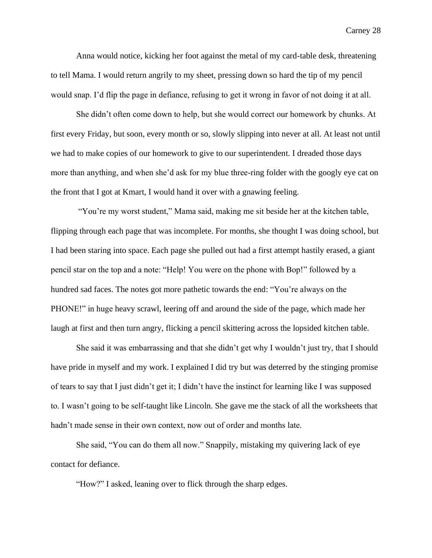Anna would notice, kicking her foot against the metal of my card-table desk, threatening to tell Mama. I would return angrily to my sheet, pressing down so hard the tip of my pencil would snap. I'd flip the page in defiance, refusing to get it wrong in favor of not doing it at all.

She didn't often come down to help, but she would correct our homework by chunks. At first every Friday, but soon, every month or so, slowly slipping into never at all. At least not until we had to make copies of our homework to give to our superintendent. I dreaded those days more than anything, and when she'd ask for my blue three-ring folder with the googly eye cat on the front that I got at Kmart, I would hand it over with a gnawing feeling.

"You're my worst student," Mama said, making me sit beside her at the kitchen table, flipping through each page that was incomplete. For months, she thought I was doing school, but I had been staring into space. Each page she pulled out had a first attempt hastily erased, a giant pencil star on the top and a note: "Help! You were on the phone with Bop!" followed by a hundred sad faces. The notes got more pathetic towards the end: "You're always on the PHONE!" in huge heavy scrawl, leering off and around the side of the page, which made her laugh at first and then turn angry, flicking a pencil skittering across the lopsided kitchen table.

She said it was embarrassing and that she didn't get why I wouldn't just try, that I should have pride in myself and my work. I explained I did try but was deterred by the stinging promise of tears to say that I just didn't get it; I didn't have the instinct for learning like I was supposed to. I wasn't going to be self-taught like Lincoln. She gave me the stack of all the worksheets that hadn't made sense in their own context, now out of order and months late.

She said, "You can do them all now." Snappily, mistaking my quivering lack of eye contact for defiance.

"How?" I asked, leaning over to flick through the sharp edges.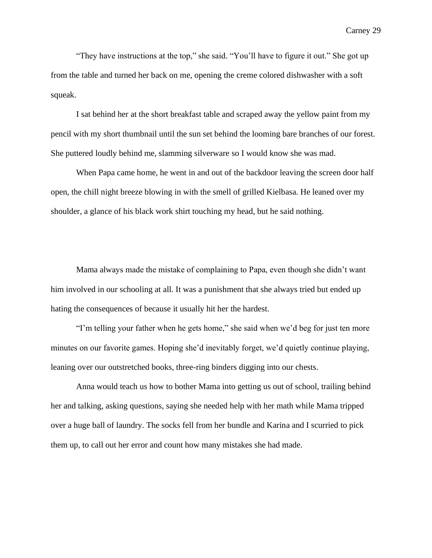"They have instructions at the top," she said. "You'll have to figure it out." She got up from the table and turned her back on me, opening the creme colored dishwasher with a soft squeak.

I sat behind her at the short breakfast table and scraped away the yellow paint from my pencil with my short thumbnail until the sun set behind the looming bare branches of our forest. She puttered loudly behind me, slamming silverware so I would know she was mad.

When Papa came home, he went in and out of the backdoor leaving the screen door half open, the chill night breeze blowing in with the smell of grilled Kielbasa. He leaned over my shoulder, a glance of his black work shirt touching my head, but he said nothing.

Mama always made the mistake of complaining to Papa, even though she didn't want him involved in our schooling at all. It was a punishment that she always tried but ended up hating the consequences of because it usually hit her the hardest.

"I'm telling your father when he gets home," she said when we'd beg for just ten more minutes on our favorite games. Hoping she'd inevitably forget, we'd quietly continue playing, leaning over our outstretched books, three-ring binders digging into our chests.

Anna would teach us how to bother Mama into getting us out of school, trailing behind her and talking, asking questions, saying she needed help with her math while Mama tripped over a huge ball of laundry. The socks fell from her bundle and Karina and I scurried to pick them up, to call out her error and count how many mistakes she had made.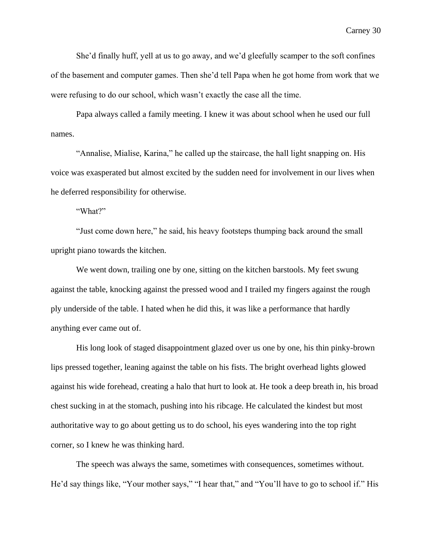She'd finally huff, yell at us to go away, and we'd gleefully scamper to the soft confines of the basement and computer games. Then she'd tell Papa when he got home from work that we were refusing to do our school, which wasn't exactly the case all the time.

Papa always called a family meeting. I knew it was about school when he used our full names.

"Annalise, Mialise, Karina," he called up the staircase, the hall light snapping on. His voice was exasperated but almost excited by the sudden need for involvement in our lives when he deferred responsibility for otherwise.

"What?"

"Just come down here," he said, his heavy footsteps thumping back around the small upright piano towards the kitchen.

We went down, trailing one by one, sitting on the kitchen barstools. My feet swung against the table, knocking against the pressed wood and I trailed my fingers against the rough ply underside of the table. I hated when he did this, it was like a performance that hardly anything ever came out of.

His long look of staged disappointment glazed over us one by one, his thin pinky-brown lips pressed together, leaning against the table on his fists. The bright overhead lights glowed against his wide forehead, creating a halo that hurt to look at. He took a deep breath in, his broad chest sucking in at the stomach, pushing into his ribcage. He calculated the kindest but most authoritative way to go about getting us to do school, his eyes wandering into the top right corner, so I knew he was thinking hard.

The speech was always the same, sometimes with consequences, sometimes without. He'd say things like, "Your mother says," "I hear that," and "You'll have to go to school if." His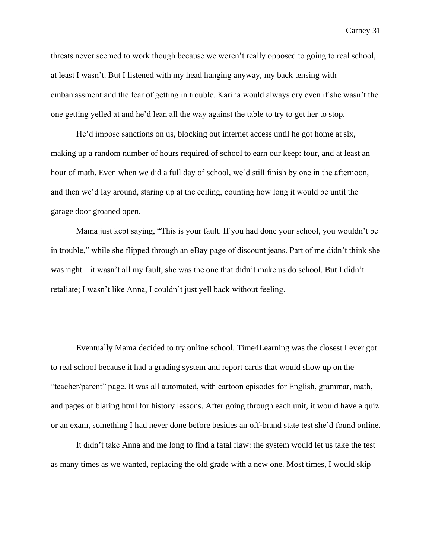threats never seemed to work though because we weren't really opposed to going to real school, at least I wasn't. But I listened with my head hanging anyway, my back tensing with embarrassment and the fear of getting in trouble. Karina would always cry even if she wasn't the one getting yelled at and he'd lean all the way against the table to try to get her to stop.

He'd impose sanctions on us, blocking out internet access until he got home at six, making up a random number of hours required of school to earn our keep: four, and at least an hour of math. Even when we did a full day of school, we'd still finish by one in the afternoon, and then we'd lay around, staring up at the ceiling, counting how long it would be until the garage door groaned open.

Mama just kept saying, "This is your fault. If you had done your school, you wouldn't be in trouble," while she flipped through an eBay page of discount jeans. Part of me didn't think she was right—it wasn't all my fault, she was the one that didn't make us do school. But I didn't retaliate; I wasn't like Anna, I couldn't just yell back without feeling.

Eventually Mama decided to try online school. Time4Learning was the closest I ever got to real school because it had a grading system and report cards that would show up on the "teacher/parent" page. It was all automated, with cartoon episodes for English, grammar, math, and pages of blaring html for history lessons. After going through each unit, it would have a quiz or an exam, something I had never done before besides an off-brand state test she'd found online.

It didn't take Anna and me long to find a fatal flaw: the system would let us take the test as many times as we wanted, replacing the old grade with a new one. Most times, I would skip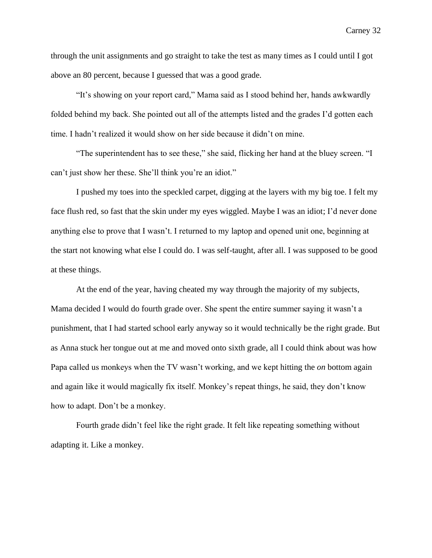through the unit assignments and go straight to take the test as many times as I could until I got above an 80 percent, because I guessed that was a good grade.

"It's showing on your report card," Mama said as I stood behind her, hands awkwardly folded behind my back. She pointed out all of the attempts listed and the grades I'd gotten each time. I hadn't realized it would show on her side because it didn't on mine.

"The superintendent has to see these," she said, flicking her hand at the bluey screen. "I can't just show her these. She'll think you're an idiot."

I pushed my toes into the speckled carpet, digging at the layers with my big toe. I felt my face flush red, so fast that the skin under my eyes wiggled. Maybe I was an idiot; I'd never done anything else to prove that I wasn't. I returned to my laptop and opened unit one, beginning at the start not knowing what else I could do. I was self-taught, after all. I was supposed to be good at these things.

At the end of the year, having cheated my way through the majority of my subjects, Mama decided I would do fourth grade over. She spent the entire summer saying it wasn't a punishment, that I had started school early anyway so it would technically be the right grade. But as Anna stuck her tongue out at me and moved onto sixth grade, all I could think about was how Papa called us monkeys when the TV wasn't working, and we kept hitting the *on* bottom again and again like it would magically fix itself. Monkey's repeat things, he said, they don't know how to adapt. Don't be a monkey.

Fourth grade didn't feel like the right grade. It felt like repeating something without adapting it. Like a monkey.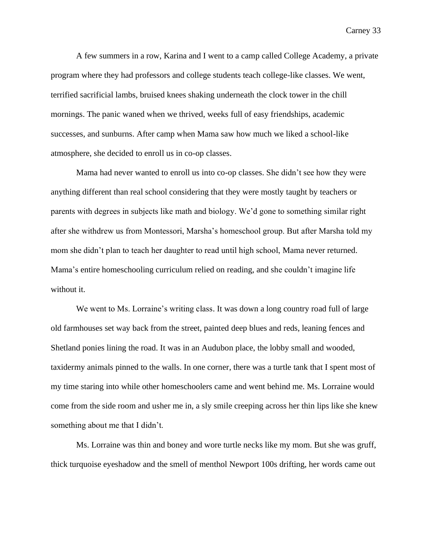A few summers in a row, Karina and I went to a camp called College Academy, a private program where they had professors and college students teach college-like classes. We went, terrified sacrificial lambs, bruised knees shaking underneath the clock tower in the chill mornings. The panic waned when we thrived, weeks full of easy friendships, academic successes, and sunburns. After camp when Mama saw how much we liked a school-like atmosphere, she decided to enroll us in co-op classes.

Mama had never wanted to enroll us into co-op classes. She didn't see how they were anything different than real school considering that they were mostly taught by teachers or parents with degrees in subjects like math and biology. We'd gone to something similar right after she withdrew us from Montessori, Marsha's homeschool group. But after Marsha told my mom she didn't plan to teach her daughter to read until high school, Mama never returned. Mama's entire homeschooling curriculum relied on reading, and she couldn't imagine life without it.

We went to Ms. Lorraine's writing class. It was down a long country road full of large old farmhouses set way back from the street, painted deep blues and reds, leaning fences and Shetland ponies lining the road. It was in an Audubon place, the lobby small and wooded, taxidermy animals pinned to the walls. In one corner, there was a turtle tank that I spent most of my time staring into while other homeschoolers came and went behind me. Ms. Lorraine would come from the side room and usher me in, a sly smile creeping across her thin lips like she knew something about me that I didn't.

Ms. Lorraine was thin and boney and wore turtle necks like my mom. But she was gruff, thick turquoise eyeshadow and the smell of menthol Newport 100s drifting, her words came out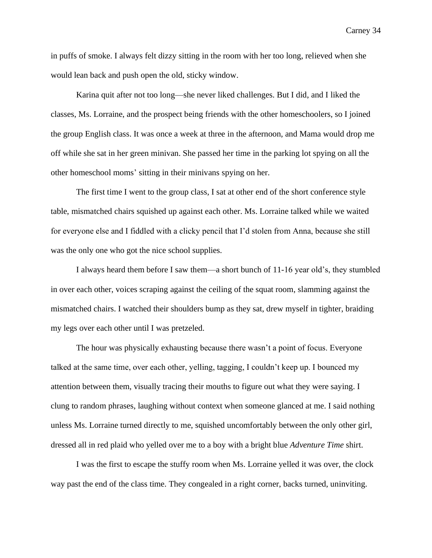in puffs of smoke. I always felt dizzy sitting in the room with her too long, relieved when she would lean back and push open the old, sticky window.

Karina quit after not too long—she never liked challenges. But I did, and I liked the classes, Ms. Lorraine, and the prospect being friends with the other homeschoolers, so I joined the group English class. It was once a week at three in the afternoon, and Mama would drop me off while she sat in her green minivan. She passed her time in the parking lot spying on all the other homeschool moms' sitting in their minivans spying on her.

The first time I went to the group class, I sat at other end of the short conference style table, mismatched chairs squished up against each other. Ms. Lorraine talked while we waited for everyone else and I fiddled with a clicky pencil that I'd stolen from Anna, because she still was the only one who got the nice school supplies.

I always heard them before I saw them—a short bunch of 11-16 year old's, they stumbled in over each other, voices scraping against the ceiling of the squat room, slamming against the mismatched chairs. I watched their shoulders bump as they sat, drew myself in tighter, braiding my legs over each other until I was pretzeled.

The hour was physically exhausting because there wasn't a point of focus. Everyone talked at the same time, over each other, yelling, tagging, I couldn't keep up. I bounced my attention between them, visually tracing their mouths to figure out what they were saying. I clung to random phrases, laughing without context when someone glanced at me. I said nothing unless Ms. Lorraine turned directly to me, squished uncomfortably between the only other girl, dressed all in red plaid who yelled over me to a boy with a bright blue *Adventure Time* shirt.

I was the first to escape the stuffy room when Ms. Lorraine yelled it was over, the clock way past the end of the class time. They congealed in a right corner, backs turned, uninviting.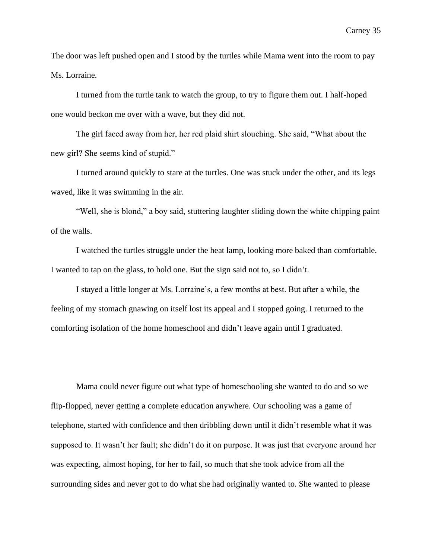The door was left pushed open and I stood by the turtles while Mama went into the room to pay Ms. Lorraine.

I turned from the turtle tank to watch the group, to try to figure them out. I half-hoped one would beckon me over with a wave, but they did not.

The girl faced away from her, her red plaid shirt slouching. She said, "What about the new girl? She seems kind of stupid."

I turned around quickly to stare at the turtles. One was stuck under the other, and its legs waved, like it was swimming in the air.

"Well, she is blond," a boy said, stuttering laughter sliding down the white chipping paint of the walls.

I watched the turtles struggle under the heat lamp, looking more baked than comfortable. I wanted to tap on the glass, to hold one. But the sign said not to, so I didn't.

I stayed a little longer at Ms. Lorraine's, a few months at best. But after a while, the feeling of my stomach gnawing on itself lost its appeal and I stopped going. I returned to the comforting isolation of the home homeschool and didn't leave again until I graduated.

Mama could never figure out what type of homeschooling she wanted to do and so we flip-flopped, never getting a complete education anywhere. Our schooling was a game of telephone, started with confidence and then dribbling down until it didn't resemble what it was supposed to. It wasn't her fault; she didn't do it on purpose. It was just that everyone around her was expecting, almost hoping, for her to fail, so much that she took advice from all the surrounding sides and never got to do what she had originally wanted to. She wanted to please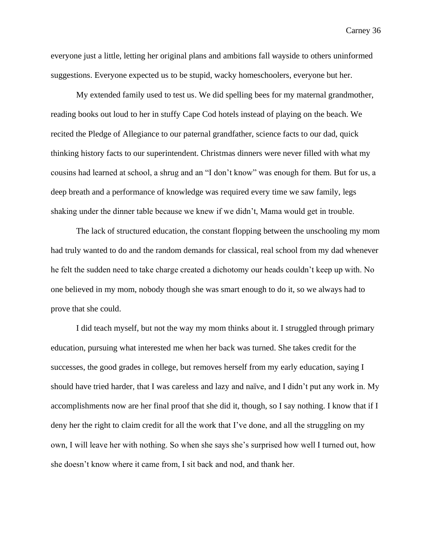everyone just a little, letting her original plans and ambitions fall wayside to others uninformed suggestions. Everyone expected us to be stupid, wacky homeschoolers, everyone but her.

My extended family used to test us. We did spelling bees for my maternal grandmother, reading books out loud to her in stuffy Cape Cod hotels instead of playing on the beach. We recited the Pledge of Allegiance to our paternal grandfather, science facts to our dad, quick thinking history facts to our superintendent. Christmas dinners were never filled with what my cousins had learned at school, a shrug and an "I don't know" was enough for them. But for us, a deep breath and a performance of knowledge was required every time we saw family, legs shaking under the dinner table because we knew if we didn't, Mama would get in trouble.

The lack of structured education, the constant flopping between the unschooling my mom had truly wanted to do and the random demands for classical, real school from my dad whenever he felt the sudden need to take charge created a dichotomy our heads couldn't keep up with. No one believed in my mom, nobody though she was smart enough to do it, so we always had to prove that she could.

I did teach myself, but not the way my mom thinks about it. I struggled through primary education, pursuing what interested me when her back was turned. She takes credit for the successes, the good grades in college, but removes herself from my early education, saying I should have tried harder, that I was careless and lazy and naïve, and I didn't put any work in. My accomplishments now are her final proof that she did it, though, so I say nothing. I know that if I deny her the right to claim credit for all the work that I've done, and all the struggling on my own, I will leave her with nothing. So when she says she's surprised how well I turned out, how she doesn't know where it came from, I sit back and nod, and thank her.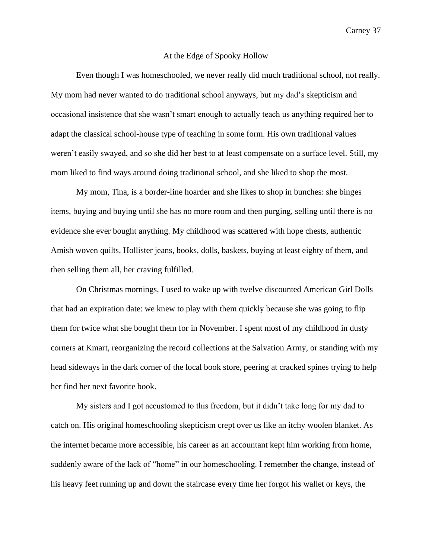# At the Edge of Spooky Hollow

Even though I was homeschooled, we never really did much traditional school, not really. My mom had never wanted to do traditional school anyways, but my dad's skepticism and occasional insistence that she wasn't smart enough to actually teach us anything required her to adapt the classical school-house type of teaching in some form. His own traditional values weren't easily swayed, and so she did her best to at least compensate on a surface level. Still, my mom liked to find ways around doing traditional school, and she liked to shop the most.

My mom, Tina, is a border-line hoarder and she likes to shop in bunches: she binges items, buying and buying until she has no more room and then purging, selling until there is no evidence she ever bought anything. My childhood was scattered with hope chests, authentic Amish woven quilts, Hollister jeans, books, dolls, baskets, buying at least eighty of them, and then selling them all, her craving fulfilled.

On Christmas mornings, I used to wake up with twelve discounted American Girl Dolls that had an expiration date: we knew to play with them quickly because she was going to flip them for twice what she bought them for in November. I spent most of my childhood in dusty corners at Kmart, reorganizing the record collections at the Salvation Army, or standing with my head sideways in the dark corner of the local book store, peering at cracked spines trying to help her find her next favorite book.

My sisters and I got accustomed to this freedom, but it didn't take long for my dad to catch on. His original homeschooling skepticism crept over us like an itchy woolen blanket. As the internet became more accessible, his career as an accountant kept him working from home, suddenly aware of the lack of "home" in our homeschooling. I remember the change, instead of his heavy feet running up and down the staircase every time her forgot his wallet or keys, the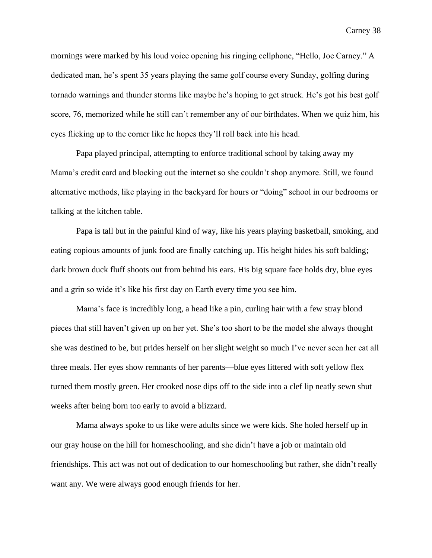mornings were marked by his loud voice opening his ringing cellphone, "Hello, Joe Carney." A dedicated man, he's spent 35 years playing the same golf course every Sunday, golfing during tornado warnings and thunder storms like maybe he's hoping to get struck. He's got his best golf score, 76, memorized while he still can't remember any of our birthdates. When we quiz him, his eyes flicking up to the corner like he hopes they'll roll back into his head.

Papa played principal, attempting to enforce traditional school by taking away my Mama's credit card and blocking out the internet so she couldn't shop anymore. Still, we found alternative methods, like playing in the backyard for hours or "doing" school in our bedrooms or talking at the kitchen table.

Papa is tall but in the painful kind of way, like his years playing basketball, smoking, and eating copious amounts of junk food are finally catching up. His height hides his soft balding; dark brown duck fluff shoots out from behind his ears. His big square face holds dry, blue eyes and a grin so wide it's like his first day on Earth every time you see him.

Mama's face is incredibly long, a head like a pin, curling hair with a few stray blond pieces that still haven't given up on her yet. She's too short to be the model she always thought she was destined to be, but prides herself on her slight weight so much I've never seen her eat all three meals. Her eyes show remnants of her parents—blue eyes littered with soft yellow flex turned them mostly green. Her crooked nose dips off to the side into a clef lip neatly sewn shut weeks after being born too early to avoid a blizzard.

Mama always spoke to us like were adults since we were kids. She holed herself up in our gray house on the hill for homeschooling, and she didn't have a job or maintain old friendships. This act was not out of dedication to our homeschooling but rather, she didn't really want any. We were always good enough friends for her.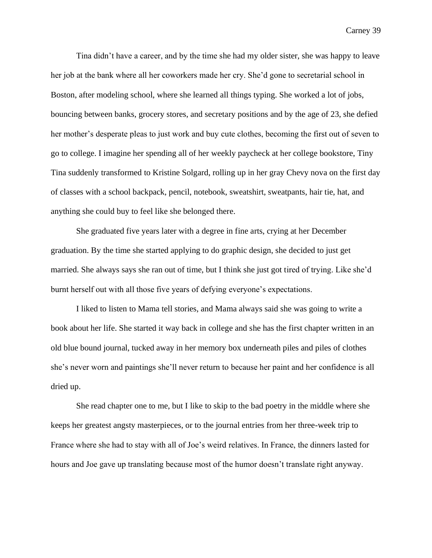Tina didn't have a career, and by the time she had my older sister, she was happy to leave her job at the bank where all her coworkers made her cry. She'd gone to secretarial school in Boston, after modeling school, where she learned all things typing. She worked a lot of jobs, bouncing between banks, grocery stores, and secretary positions and by the age of 23, she defied her mother's desperate pleas to just work and buy cute clothes, becoming the first out of seven to go to college. I imagine her spending all of her weekly paycheck at her college bookstore, Tiny Tina suddenly transformed to Kristine Solgard, rolling up in her gray Chevy nova on the first day of classes with a school backpack, pencil, notebook, sweatshirt, sweatpants, hair tie, hat, and anything she could buy to feel like she belonged there.

She graduated five years later with a degree in fine arts, crying at her December graduation. By the time she started applying to do graphic design, she decided to just get married. She always says she ran out of time, but I think she just got tired of trying. Like she'd burnt herself out with all those five years of defying everyone's expectations.

I liked to listen to Mama tell stories, and Mama always said she was going to write a book about her life. She started it way back in college and she has the first chapter written in an old blue bound journal, tucked away in her memory box underneath piles and piles of clothes she's never worn and paintings she'll never return to because her paint and her confidence is all dried up.

She read chapter one to me, but I like to skip to the bad poetry in the middle where she keeps her greatest angsty masterpieces, or to the journal entries from her three-week trip to France where she had to stay with all of Joe's weird relatives. In France, the dinners lasted for hours and Joe gave up translating because most of the humor doesn't translate right anyway.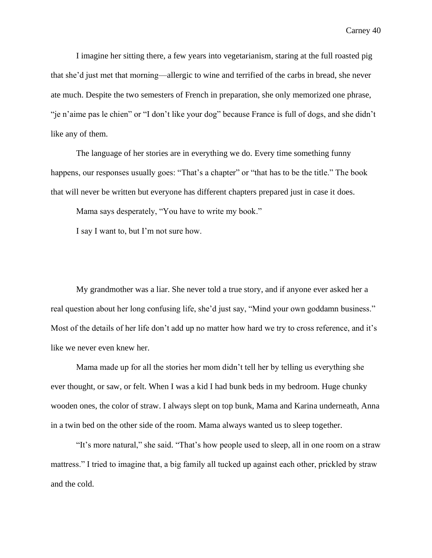I imagine her sitting there, a few years into vegetarianism, staring at the full roasted pig that she'd just met that morning—allergic to wine and terrified of the carbs in bread, she never ate much. Despite the two semesters of French in preparation, she only memorized one phrase, "je n'aime pas le chien" or "I don't like your dog" because France is full of dogs, and she didn't like any of them.

The language of her stories are in everything we do. Every time something funny happens, our responses usually goes: "That's a chapter" or "that has to be the title." The book that will never be written but everyone has different chapters prepared just in case it does.

Mama says desperately, "You have to write my book."

I say I want to, but I'm not sure how.

My grandmother was a liar. She never told a true story, and if anyone ever asked her a real question about her long confusing life, she'd just say, "Mind your own goddamn business." Most of the details of her life don't add up no matter how hard we try to cross reference, and it's like we never even knew her.

Mama made up for all the stories her mom didn't tell her by telling us everything she ever thought, or saw, or felt. When I was a kid I had bunk beds in my bedroom. Huge chunky wooden ones, the color of straw. I always slept on top bunk, Mama and Karina underneath, Anna in a twin bed on the other side of the room. Mama always wanted us to sleep together.

"It's more natural," she said. "That's how people used to sleep, all in one room on a straw mattress." I tried to imagine that, a big family all tucked up against each other, prickled by straw and the cold.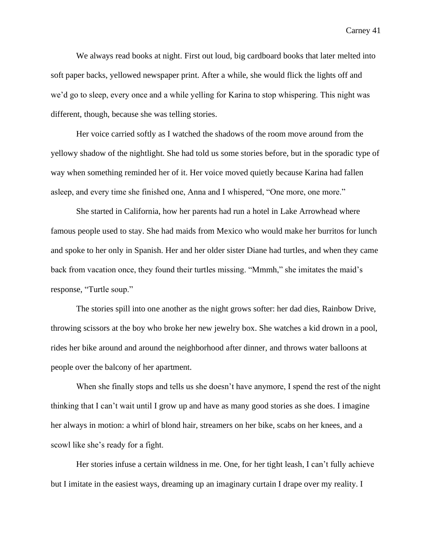We always read books at night. First out loud, big cardboard books that later melted into soft paper backs, yellowed newspaper print. After a while, she would flick the lights off and we'd go to sleep, every once and a while yelling for Karina to stop whispering. This night was different, though, because she was telling stories.

Her voice carried softly as I watched the shadows of the room move around from the yellowy shadow of the nightlight. She had told us some stories before, but in the sporadic type of way when something reminded her of it. Her voice moved quietly because Karina had fallen asleep, and every time she finished one, Anna and I whispered, "One more, one more."

She started in California, how her parents had run a hotel in Lake Arrowhead where famous people used to stay. She had maids from Mexico who would make her burritos for lunch and spoke to her only in Spanish. Her and her older sister Diane had turtles, and when they came back from vacation once, they found their turtles missing. "Mmmh," she imitates the maid's response, "Turtle soup."

The stories spill into one another as the night grows softer: her dad dies, Rainbow Drive, throwing scissors at the boy who broke her new jewelry box. She watches a kid drown in a pool, rides her bike around and around the neighborhood after dinner, and throws water balloons at people over the balcony of her apartment.

When she finally stops and tells us she doesn't have anymore, I spend the rest of the night thinking that I can't wait until I grow up and have as many good stories as she does. I imagine her always in motion: a whirl of blond hair, streamers on her bike, scabs on her knees, and a scowl like she's ready for a fight.

Her stories infuse a certain wildness in me. One, for her tight leash, I can't fully achieve but I imitate in the easiest ways, dreaming up an imaginary curtain I drape over my reality. I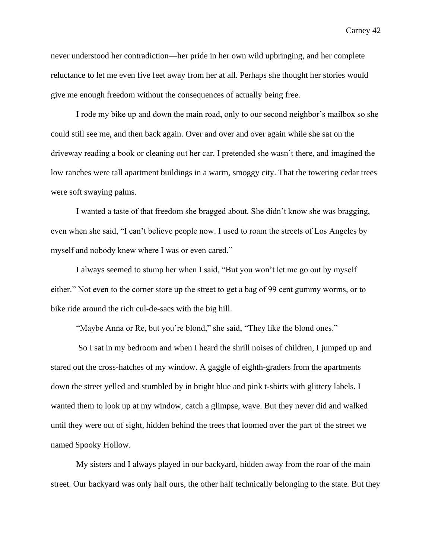never understood her contradiction—her pride in her own wild upbringing, and her complete reluctance to let me even five feet away from her at all. Perhaps she thought her stories would give me enough freedom without the consequences of actually being free.

I rode my bike up and down the main road, only to our second neighbor's mailbox so she could still see me, and then back again. Over and over and over again while she sat on the driveway reading a book or cleaning out her car. I pretended she wasn't there, and imagined the low ranches were tall apartment buildings in a warm, smoggy city. That the towering cedar trees were soft swaying palms.

I wanted a taste of that freedom she bragged about. She didn't know she was bragging, even when she said, "I can't believe people now. I used to roam the streets of Los Angeles by myself and nobody knew where I was or even cared."

I always seemed to stump her when I said, "But you won't let me go out by myself either." Not even to the corner store up the street to get a bag of 99 cent gummy worms, or to bike ride around the rich cul-de-sacs with the big hill.

"Maybe Anna or Re, but you're blond," she said, "They like the blond ones."

So I sat in my bedroom and when I heard the shrill noises of children, I jumped up and stared out the cross-hatches of my window. A gaggle of eighth-graders from the apartments down the street yelled and stumbled by in bright blue and pink t-shirts with glittery labels. I wanted them to look up at my window, catch a glimpse, wave. But they never did and walked until they were out of sight, hidden behind the trees that loomed over the part of the street we named Spooky Hollow.

My sisters and I always played in our backyard, hidden away from the roar of the main street. Our backyard was only half ours, the other half technically belonging to the state. But they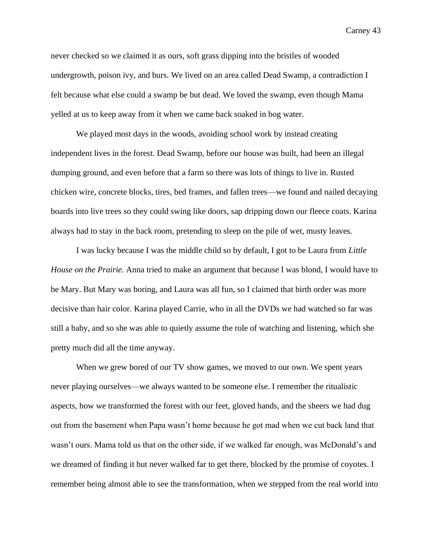never checked so we claimed it as ours, soft grass dipping into the bristles of wooded undergrowth, poison ivy, and burs. We lived on an area called Dead Swamp, a contradiction I felt because what else could a swamp be but dead. We loved the swamp, even though Mama yelled at us to keep away from it when we came back soaked in bog water.

We played most days in the woods, avoiding school work by instead creating independent lives in the forest. Dead Swamp, before our house was built, had been an illegal dumping ground, and even before that a farm so there was lots of things to live in. Rusted chicken wire, concrete blocks, tires, bed frames, and fallen trees—we found and nailed decaying boards into live trees so they could swing like doors, sap dripping down our fleece coats. Karina always had to stay in the back room, pretending to sleep on the pile of wet, musty leaves.

I was lucky because I was the middle child so by default, I got to be Laura from *Little House on the Prairie.* Anna tried to make an argument that because I was blond, I would have to be Mary. But Mary was boring, and Laura was all fun, so I claimed that birth order was more decisive than hair color. Karina played Carrie, who in all the DVDs we had watched so far was still a baby, and so she was able to quietly assume the role of watching and listening, which she pretty much did all the time anyway.

When we grew bored of our TV show games, we moved to our own. We spent years never playing ourselves—we always wanted to be someone else. I remember the ritualistic aspects, how we transformed the forest with our feet, gloved hands, and the sheers we had dug out from the basement when Papa wasn't home because he got mad when we cut back land that wasn't ours. Mama told us that on the other side, if we walked far enough, was McDonald's and we dreamed of finding it but never walked far to get there, blocked by the promise of coyotes. I remember being almost able to see the transformation, when we stepped from the real world into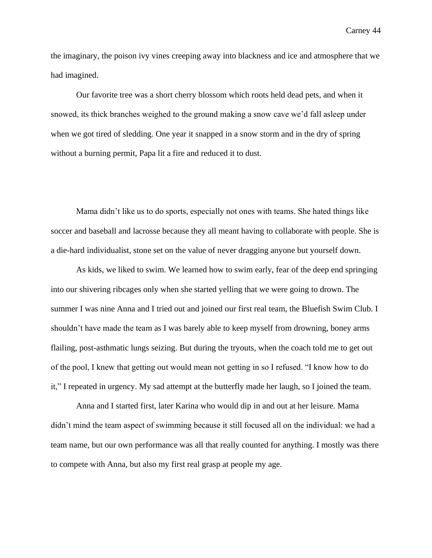the imaginary, the poison ivy vines creeping away into blackness and ice and atmosphere that we had imagined.

Our favorite tree was a short cherry blossom which roots held dead pets, and when it snowed, its thick branches weighed to the ground making a snow cave we'd fall asleep under when we got tired of sledding. One year it snapped in a snow storm and in the dry of spring without a burning permit, Papa lit a fire and reduced it to dust.

Mama didn't like us to do sports, especially not ones with teams. She hated things like soccer and baseball and lacrosse because they all meant having to collaborate with people. She is a die-hard individualist, stone set on the value of never dragging anyone but yourself down.

As kids, we liked to swim. We learned how to swim early, fear of the deep end springing into our shivering ribcages only when she started yelling that we were going to drown. The summer I was nine Anna and I tried out and joined our first real team, the Bluefish Swim Club. I shouldn't have made the team as I was barely able to keep myself from drowning, boney arms flailing, post-asthmatic lungs seizing. But during the tryouts, when the coach told me to get out of the pool, I knew that getting out would mean not getting in so I refused. "I know how to do it," I repeated in urgency. My sad attempt at the butterfly made her laugh, so I joined the team.

Anna and I started first, later Karina who would dip in and out at her leisure. Mama didn't mind the team aspect of swimming because it still focused all on the individual: we had a team name, but our own performance was all that really counted for anything. I mostly was there to compete with Anna, but also my first real grasp at people my age.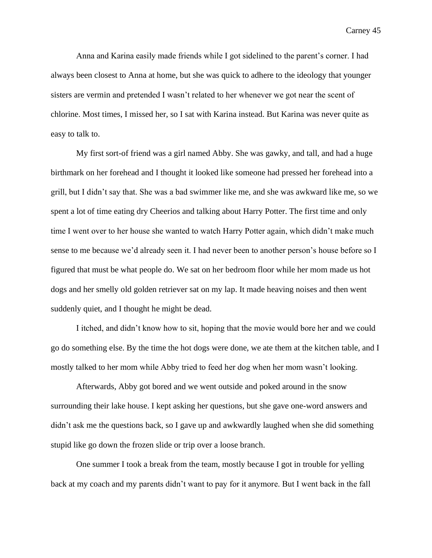Anna and Karina easily made friends while I got sidelined to the parent's corner. I had always been closest to Anna at home, but she was quick to adhere to the ideology that younger sisters are vermin and pretended I wasn't related to her whenever we got near the scent of chlorine. Most times, I missed her, so I sat with Karina instead. But Karina was never quite as easy to talk to.

My first sort-of friend was a girl named Abby. She was gawky, and tall, and had a huge birthmark on her forehead and I thought it looked like someone had pressed her forehead into a grill, but I didn't say that. She was a bad swimmer like me, and she was awkward like me, so we spent a lot of time eating dry Cheerios and talking about Harry Potter. The first time and only time I went over to her house she wanted to watch Harry Potter again, which didn't make much sense to me because we'd already seen it. I had never been to another person's house before so I figured that must be what people do. We sat on her bedroom floor while her mom made us hot dogs and her smelly old golden retriever sat on my lap. It made heaving noises and then went suddenly quiet, and I thought he might be dead.

I itched, and didn't know how to sit, hoping that the movie would bore her and we could go do something else. By the time the hot dogs were done, we ate them at the kitchen table, and I mostly talked to her mom while Abby tried to feed her dog when her mom wasn't looking.

Afterwards, Abby got bored and we went outside and poked around in the snow surrounding their lake house. I kept asking her questions, but she gave one-word answers and didn't ask me the questions back, so I gave up and awkwardly laughed when she did something stupid like go down the frozen slide or trip over a loose branch.

One summer I took a break from the team, mostly because I got in trouble for yelling back at my coach and my parents didn't want to pay for it anymore. But I went back in the fall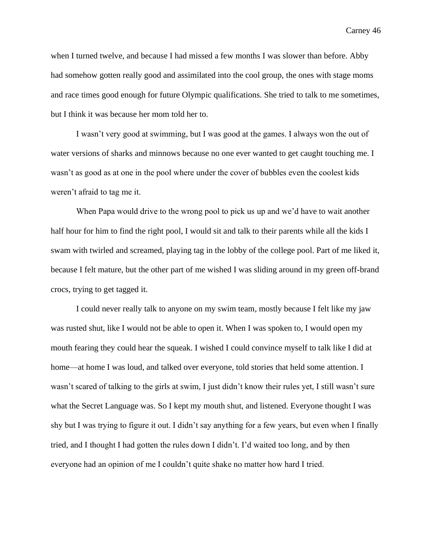when I turned twelve, and because I had missed a few months I was slower than before. Abby had somehow gotten really good and assimilated into the cool group, the ones with stage moms and race times good enough for future Olympic qualifications. She tried to talk to me sometimes, but I think it was because her mom told her to.

I wasn't very good at swimming, but I was good at the games. I always won the out of water versions of sharks and minnows because no one ever wanted to get caught touching me. I wasn't as good as at one in the pool where under the cover of bubbles even the coolest kids weren't afraid to tag me it.

When Papa would drive to the wrong pool to pick us up and we'd have to wait another half hour for him to find the right pool, I would sit and talk to their parents while all the kids I swam with twirled and screamed, playing tag in the lobby of the college pool. Part of me liked it, because I felt mature, but the other part of me wished I was sliding around in my green off-brand crocs, trying to get tagged it.

I could never really talk to anyone on my swim team, mostly because I felt like my jaw was rusted shut, like I would not be able to open it. When I was spoken to, I would open my mouth fearing they could hear the squeak. I wished I could convince myself to talk like I did at home—at home I was loud, and talked over everyone, told stories that held some attention. I wasn't scared of talking to the girls at swim, I just didn't know their rules yet, I still wasn't sure what the Secret Language was. So I kept my mouth shut, and listened. Everyone thought I was shy but I was trying to figure it out. I didn't say anything for a few years, but even when I finally tried, and I thought I had gotten the rules down I didn't. I'd waited too long, and by then everyone had an opinion of me I couldn't quite shake no matter how hard I tried.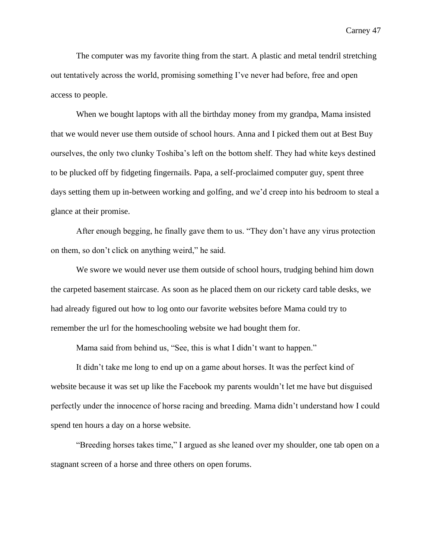The computer was my favorite thing from the start. A plastic and metal tendril stretching out tentatively across the world, promising something I've never had before, free and open access to people.

When we bought laptops with all the birthday money from my grandpa, Mama insisted that we would never use them outside of school hours. Anna and I picked them out at Best Buy ourselves, the only two clunky Toshiba's left on the bottom shelf. They had white keys destined to be plucked off by fidgeting fingernails. Papa, a self-proclaimed computer guy, spent three days setting them up in-between working and golfing, and we'd creep into his bedroom to steal a glance at their promise.

After enough begging, he finally gave them to us. "They don't have any virus protection on them, so don't click on anything weird," he said.

We swore we would never use them outside of school hours, trudging behind him down the carpeted basement staircase. As soon as he placed them on our rickety card table desks, we had already figured out how to log onto our favorite websites before Mama could try to remember the url for the homeschooling website we had bought them for.

Mama said from behind us, "See, this is what I didn't want to happen."

It didn't take me long to end up on a game about horses. It was the perfect kind of website because it was set up like the Facebook my parents wouldn't let me have but disguised perfectly under the innocence of horse racing and breeding. Mama didn't understand how I could spend ten hours a day on a horse website.

"Breeding horses takes time," I argued as she leaned over my shoulder, one tab open on a stagnant screen of a horse and three others on open forums.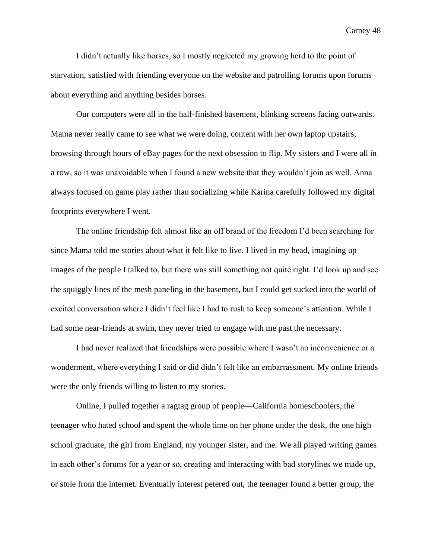I didn't actually like horses, so I mostly neglected my growing herd to the point of starvation, satisfied with friending everyone on the website and patrolling forums upon forums about everything and anything besides horses.

Our computers were all in the half-finished basement, blinking screens facing outwards. Mama never really came to see what we were doing, content with her own laptop upstairs, browsing through hours of eBay pages for the next obsession to flip. My sisters and I were all in a row, so it was unavoidable when I found a new website that they wouldn't join as well. Anna always focused on game play rather than socializing while Karina carefully followed my digital footprints everywhere I went.

The online friendship felt almost like an off brand of the freedom I'd been searching for since Mama told me stories about what it felt like to live. I lived in my head, imagining up images of the people I talked to, but there was still something not quite right. I'd look up and see the squiggly lines of the mesh paneling in the basement, but I could get sucked into the world of excited conversation where I didn't feel like I had to rush to keep someone's attention. While I had some near-friends at swim, they never tried to engage with me past the necessary.

I had never realized that friendships were possible where I wasn't an inconvenience or a wonderment, where everything I said or did didn't felt like an embarrassment. My online friends were the only friends willing to listen to my stories.

Online, I pulled together a ragtag group of people—California homeschoolers, the teenager who hated school and spent the whole time on her phone under the desk, the one high school graduate, the girl from England, my younger sister, and me. We all played writing games in each other's forums for a year or so, creating and interacting with bad storylines we made up, or stole from the internet. Eventually interest petered out, the teenager found a better group, the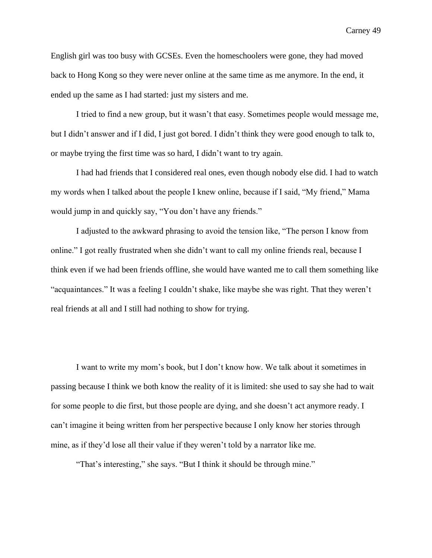English girl was too busy with GCSEs. Even the homeschoolers were gone, they had moved back to Hong Kong so they were never online at the same time as me anymore. In the end, it ended up the same as I had started: just my sisters and me.

I tried to find a new group, but it wasn't that easy. Sometimes people would message me, but I didn't answer and if I did, I just got bored. I didn't think they were good enough to talk to, or maybe trying the first time was so hard, I didn't want to try again.

I had had friends that I considered real ones, even though nobody else did. I had to watch my words when I talked about the people I knew online, because if I said, "My friend," Mama would jump in and quickly say, "You don't have any friends."

I adjusted to the awkward phrasing to avoid the tension like, "The person I know from online." I got really frustrated when she didn't want to call my online friends real, because I think even if we had been friends offline, she would have wanted me to call them something like "acquaintances." It was a feeling I couldn't shake, like maybe she was right. That they weren't real friends at all and I still had nothing to show for trying.

I want to write my mom's book, but I don't know how. We talk about it sometimes in passing because I think we both know the reality of it is limited: she used to say she had to wait for some people to die first, but those people are dying, and she doesn't act anymore ready. I can't imagine it being written from her perspective because I only know her stories through mine, as if they'd lose all their value if they weren't told by a narrator like me.

"That's interesting," she says. "But I think it should be through mine."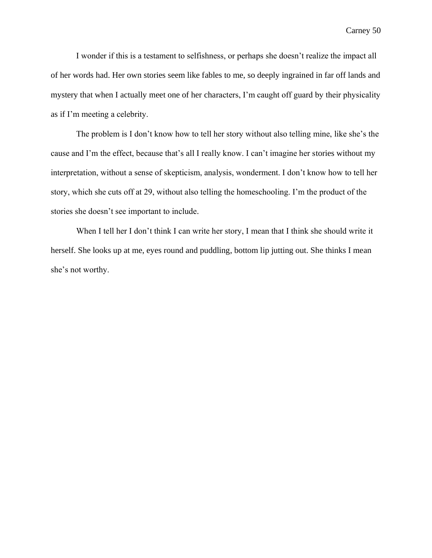I wonder if this is a testament to selfishness, or perhaps she doesn't realize the impact all of her words had. Her own stories seem like fables to me, so deeply ingrained in far off lands and mystery that when I actually meet one of her characters, I'm caught off guard by their physicality as if I'm meeting a celebrity.

The problem is I don't know how to tell her story without also telling mine, like she's the cause and I'm the effect, because that's all I really know. I can't imagine her stories without my interpretation, without a sense of skepticism, analysis, wonderment. I don't know how to tell her story, which she cuts off at 29, without also telling the homeschooling. I'm the product of the stories she doesn't see important to include.

When I tell her I don't think I can write her story, I mean that I think she should write it herself. She looks up at me, eyes round and puddling, bottom lip jutting out. She thinks I mean she's not worthy.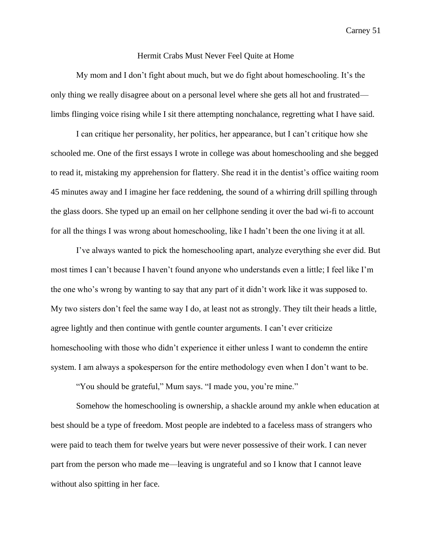## Hermit Crabs Must Never Feel Quite at Home

My mom and I don't fight about much, but we do fight about homeschooling. It's the only thing we really disagree about on a personal level where she gets all hot and frustrated limbs flinging voice rising while I sit there attempting nonchalance, regretting what I have said.

I can critique her personality, her politics, her appearance, but I can't critique how she schooled me. One of the first essays I wrote in college was about homeschooling and she begged to read it, mistaking my apprehension for flattery. She read it in the dentist's office waiting room 45 minutes away and I imagine her face reddening, the sound of a whirring drill spilling through the glass doors. She typed up an email on her cellphone sending it over the bad wi-fi to account for all the things I was wrong about homeschooling, like I hadn't been the one living it at all.

I've always wanted to pick the homeschooling apart, analyze everything she ever did. But most times I can't because I haven't found anyone who understands even a little; I feel like I'm the one who's wrong by wanting to say that any part of it didn't work like it was supposed to. My two sisters don't feel the same way I do, at least not as strongly. They tilt their heads a little, agree lightly and then continue with gentle counter arguments. I can't ever criticize homeschooling with those who didn't experience it either unless I want to condemn the entire system. I am always a spokesperson for the entire methodology even when I don't want to be.

"You should be grateful," Mum says. "I made you, you're mine."

Somehow the homeschooling is ownership, a shackle around my ankle when education at best should be a type of freedom. Most people are indebted to a faceless mass of strangers who were paid to teach them for twelve years but were never possessive of their work. I can never part from the person who made me—leaving is ungrateful and so I know that I cannot leave without also spitting in her face.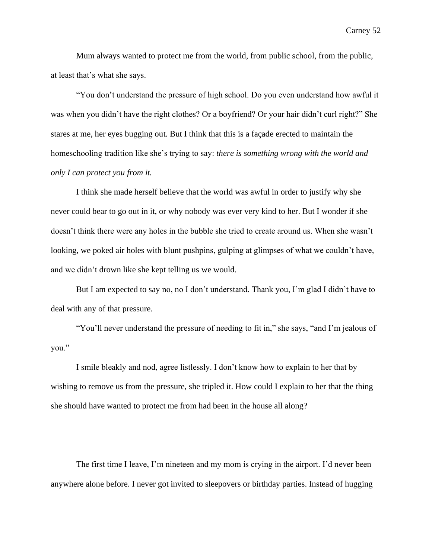Mum always wanted to protect me from the world, from public school, from the public, at least that's what she says.

"You don't understand the pressure of high school. Do you even understand how awful it was when you didn't have the right clothes? Or a boyfriend? Or your hair didn't curl right?" She stares at me, her eyes bugging out. But I think that this is a façade erected to maintain the homeschooling tradition like she's trying to say: *there is something wrong with the world and only I can protect you from it.*

I think she made herself believe that the world was awful in order to justify why she never could bear to go out in it, or why nobody was ever very kind to her. But I wonder if she doesn't think there were any holes in the bubble she tried to create around us. When she wasn't looking, we poked air holes with blunt pushpins, gulping at glimpses of what we couldn't have, and we didn't drown like she kept telling us we would.

But I am expected to say no, no I don't understand. Thank you, I'm glad I didn't have to deal with any of that pressure.

"You'll never understand the pressure of needing to fit in," she says, "and I'm jealous of you."

I smile bleakly and nod, agree listlessly. I don't know how to explain to her that by wishing to remove us from the pressure, she tripled it. How could I explain to her that the thing she should have wanted to protect me from had been in the house all along?

The first time I leave, I'm nineteen and my mom is crying in the airport. I'd never been anywhere alone before. I never got invited to sleepovers or birthday parties. Instead of hugging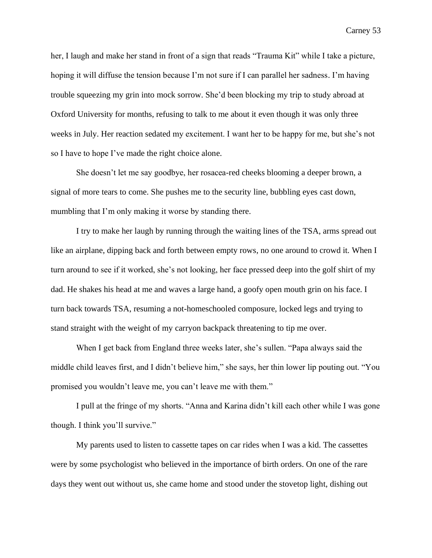her, I laugh and make her stand in front of a sign that reads "Trauma Kit" while I take a picture, hoping it will diffuse the tension because I'm not sure if I can parallel her sadness. I'm having trouble squeezing my grin into mock sorrow. She'd been blocking my trip to study abroad at Oxford University for months, refusing to talk to me about it even though it was only three weeks in July. Her reaction sedated my excitement. I want her to be happy for me, but she's not so I have to hope I've made the right choice alone.

She doesn't let me say goodbye, her rosacea-red cheeks blooming a deeper brown, a signal of more tears to come. She pushes me to the security line, bubbling eyes cast down, mumbling that I'm only making it worse by standing there.

I try to make her laugh by running through the waiting lines of the TSA, arms spread out like an airplane, dipping back and forth between empty rows, no one around to crowd it. When I turn around to see if it worked, she's not looking, her face pressed deep into the golf shirt of my dad. He shakes his head at me and waves a large hand, a goofy open mouth grin on his face. I turn back towards TSA, resuming a not-homeschooled composure, locked legs and trying to stand straight with the weight of my carryon backpack threatening to tip me over.

When I get back from England three weeks later, she's sullen. "Papa always said the middle child leaves first, and I didn't believe him," she says, her thin lower lip pouting out. "You promised you wouldn't leave me, you can't leave me with them."

I pull at the fringe of my shorts. "Anna and Karina didn't kill each other while I was gone though. I think you'll survive."

My parents used to listen to cassette tapes on car rides when I was a kid. The cassettes were by some psychologist who believed in the importance of birth orders. On one of the rare days they went out without us, she came home and stood under the stovetop light, dishing out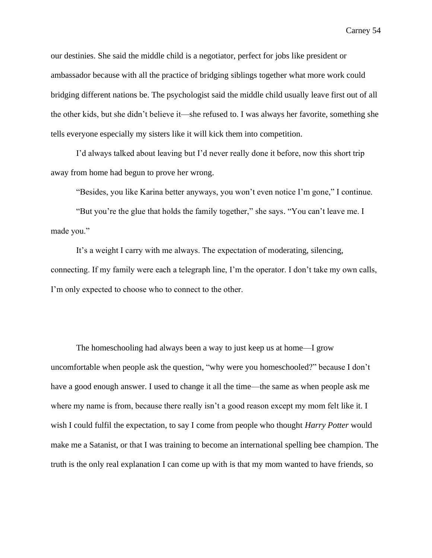our destinies. She said the middle child is a negotiator, perfect for jobs like president or ambassador because with all the practice of bridging siblings together what more work could bridging different nations be. The psychologist said the middle child usually leave first out of all the other kids, but she didn't believe it—she refused to. I was always her favorite, something she tells everyone especially my sisters like it will kick them into competition.

I'd always talked about leaving but I'd never really done it before, now this short trip away from home had begun to prove her wrong.

"Besides, you like Karina better anyways, you won't even notice I'm gone," I continue.

"But you're the glue that holds the family together," she says. "You can't leave me. I made you."

It's a weight I carry with me always. The expectation of moderating, silencing, connecting. If my family were each a telegraph line, I'm the operator. I don't take my own calls, I'm only expected to choose who to connect to the other.

The homeschooling had always been a way to just keep us at home—I grow uncomfortable when people ask the question, "why were you homeschooled?" because I don't have a good enough answer. I used to change it all the time—the same as when people ask me where my name is from, because there really isn't a good reason except my mom felt like it. I wish I could fulfil the expectation, to say I come from people who thought *Harry Potter* would make me a Satanist, or that I was training to become an international spelling bee champion. The truth is the only real explanation I can come up with is that my mom wanted to have friends, so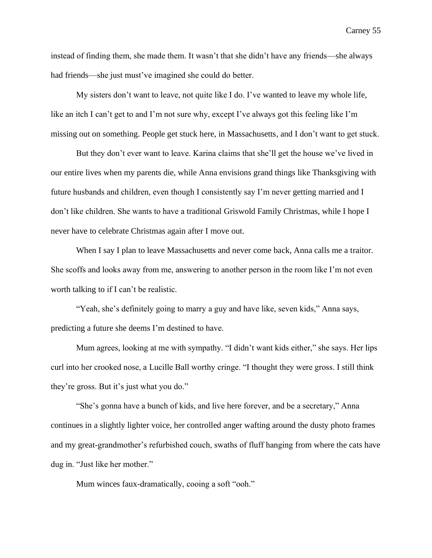instead of finding them, she made them. It wasn't that she didn't have any friends—she always had friends—she just must've imagined she could do better.

My sisters don't want to leave, not quite like I do. I've wanted to leave my whole life, like an itch I can't get to and I'm not sure why, except I've always got this feeling like I'm missing out on something. People get stuck here, in Massachusetts, and I don't want to get stuck.

But they don't ever want to leave. Karina claims that she'll get the house we've lived in our entire lives when my parents die, while Anna envisions grand things like Thanksgiving with future husbands and children, even though I consistently say I'm never getting married and I don't like children. She wants to have a traditional Griswold Family Christmas, while I hope I never have to celebrate Christmas again after I move out.

When I say I plan to leave Massachusetts and never come back, Anna calls me a traitor. She scoffs and looks away from me, answering to another person in the room like I'm not even worth talking to if I can't be realistic.

"Yeah, she's definitely going to marry a guy and have like, seven kids," Anna says, predicting a future she deems I'm destined to have.

Mum agrees, looking at me with sympathy. "I didn't want kids either," she says. Her lips curl into her crooked nose, a Lucille Ball worthy cringe. "I thought they were gross. I still think they're gross. But it's just what you do."

"She's gonna have a bunch of kids, and live here forever, and be a secretary," Anna continues in a slightly lighter voice, her controlled anger wafting around the dusty photo frames and my great-grandmother's refurbished couch, swaths of fluff hanging from where the cats have dug in. "Just like her mother."

Mum winces faux-dramatically, cooing a soft "ooh."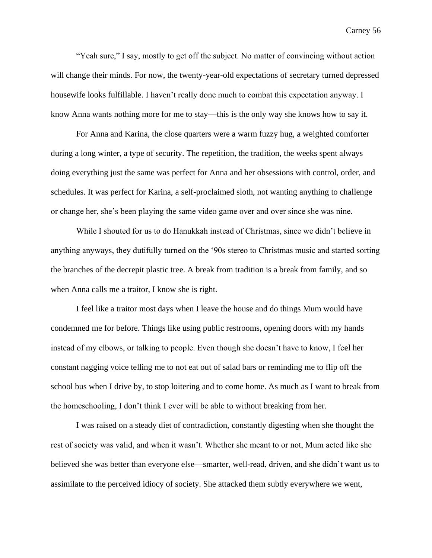"Yeah sure," I say, mostly to get off the subject. No matter of convincing without action will change their minds. For now, the twenty-year-old expectations of secretary turned depressed housewife looks fulfillable. I haven't really done much to combat this expectation anyway. I know Anna wants nothing more for me to stay—this is the only way she knows how to say it.

For Anna and Karina, the close quarters were a warm fuzzy hug, a weighted comforter during a long winter, a type of security. The repetition, the tradition, the weeks spent always doing everything just the same was perfect for Anna and her obsessions with control, order, and schedules. It was perfect for Karina, a self-proclaimed sloth, not wanting anything to challenge or change her, she's been playing the same video game over and over since she was nine.

While I shouted for us to do Hanukkah instead of Christmas, since we didn't believe in anything anyways, they dutifully turned on the '90s stereo to Christmas music and started sorting the branches of the decrepit plastic tree. A break from tradition is a break from family, and so when Anna calls me a traitor, I know she is right.

I feel like a traitor most days when I leave the house and do things Mum would have condemned me for before. Things like using public restrooms, opening doors with my hands instead of my elbows, or talking to people. Even though she doesn't have to know, I feel her constant nagging voice telling me to not eat out of salad bars or reminding me to flip off the school bus when I drive by, to stop loitering and to come home. As much as I want to break from the homeschooling, I don't think I ever will be able to without breaking from her.

I was raised on a steady diet of contradiction, constantly digesting when she thought the rest of society was valid, and when it wasn't. Whether she meant to or not, Mum acted like she believed she was better than everyone else—smarter, well-read, driven, and she didn't want us to assimilate to the perceived idiocy of society. She attacked them subtly everywhere we went,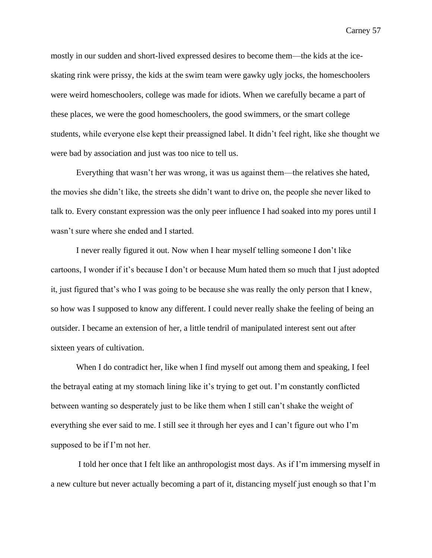mostly in our sudden and short-lived expressed desires to become them—the kids at the iceskating rink were prissy, the kids at the swim team were gawky ugly jocks, the homeschoolers were weird homeschoolers, college was made for idiots. When we carefully became a part of these places, we were the good homeschoolers, the good swimmers, or the smart college students, while everyone else kept their preassigned label. It didn't feel right, like she thought we were bad by association and just was too nice to tell us.

Everything that wasn't her was wrong, it was us against them—the relatives she hated, the movies she didn't like, the streets she didn't want to drive on, the people she never liked to talk to. Every constant expression was the only peer influence I had soaked into my pores until I wasn't sure where she ended and I started.

I never really figured it out. Now when I hear myself telling someone I don't like cartoons, I wonder if it's because I don't or because Mum hated them so much that I just adopted it, just figured that's who I was going to be because she was really the only person that I knew, so how was I supposed to know any different. I could never really shake the feeling of being an outsider. I became an extension of her, a little tendril of manipulated interest sent out after sixteen years of cultivation.

When I do contradict her, like when I find myself out among them and speaking, I feel the betrayal eating at my stomach lining like it's trying to get out. I'm constantly conflicted between wanting so desperately just to be like them when I still can't shake the weight of everything she ever said to me. I still see it through her eyes and I can't figure out who I'm supposed to be if I'm not her.

I told her once that I felt like an anthropologist most days. As if I'm immersing myself in a new culture but never actually becoming a part of it, distancing myself just enough so that I'm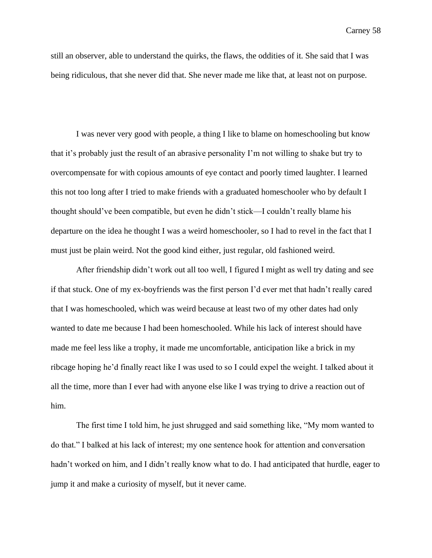still an observer, able to understand the quirks, the flaws, the oddities of it. She said that I was being ridiculous, that she never did that. She never made me like that, at least not on purpose.

I was never very good with people, a thing I like to blame on homeschooling but know that it's probably just the result of an abrasive personality I'm not willing to shake but try to overcompensate for with copious amounts of eye contact and poorly timed laughter. I learned this not too long after I tried to make friends with a graduated homeschooler who by default I thought should've been compatible, but even he didn't stick—I couldn't really blame his departure on the idea he thought I was a weird homeschooler, so I had to revel in the fact that I must just be plain weird. Not the good kind either, just regular, old fashioned weird.

After friendship didn't work out all too well, I figured I might as well try dating and see if that stuck. One of my ex-boyfriends was the first person I'd ever met that hadn't really cared that I was homeschooled, which was weird because at least two of my other dates had only wanted to date me because I had been homeschooled. While his lack of interest should have made me feel less like a trophy, it made me uncomfortable, anticipation like a brick in my ribcage hoping he'd finally react like I was used to so I could expel the weight. I talked about it all the time, more than I ever had with anyone else like I was trying to drive a reaction out of him.

The first time I told him, he just shrugged and said something like, "My mom wanted to do that." I balked at his lack of interest; my one sentence hook for attention and conversation hadn't worked on him, and I didn't really know what to do. I had anticipated that hurdle, eager to jump it and make a curiosity of myself, but it never came.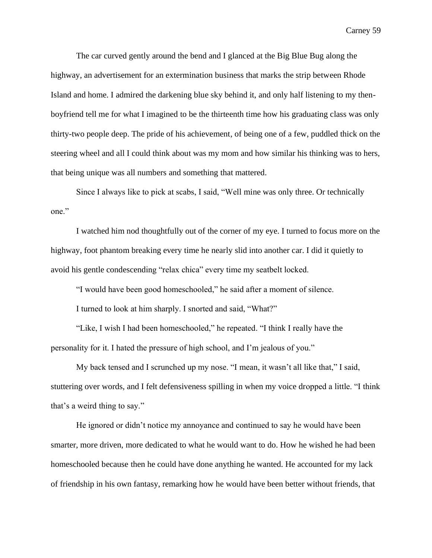The car curved gently around the bend and I glanced at the Big Blue Bug along the highway, an advertisement for an extermination business that marks the strip between Rhode Island and home. I admired the darkening blue sky behind it, and only half listening to my thenboyfriend tell me for what I imagined to be the thirteenth time how his graduating class was only thirty-two people deep. The pride of his achievement, of being one of a few, puddled thick on the steering wheel and all I could think about was my mom and how similar his thinking was to hers, that being unique was all numbers and something that mattered.

Since I always like to pick at scabs, I said, "Well mine was only three. Or technically one."

I watched him nod thoughtfully out of the corner of my eye. I turned to focus more on the highway, foot phantom breaking every time he nearly slid into another car. I did it quietly to avoid his gentle condescending "relax chica" every time my seatbelt locked.

"I would have been good homeschooled," he said after a moment of silence.

I turned to look at him sharply. I snorted and said, "What?"

"Like, I wish I had been homeschooled," he repeated. "I think I really have the personality for it. I hated the pressure of high school, and I'm jealous of you."

My back tensed and I scrunched up my nose. "I mean, it wasn't all like that," I said, stuttering over words, and I felt defensiveness spilling in when my voice dropped a little. "I think that's a weird thing to say."

He ignored or didn't notice my annoyance and continued to say he would have been smarter, more driven, more dedicated to what he would want to do. How he wished he had been homeschooled because then he could have done anything he wanted. He accounted for my lack of friendship in his own fantasy, remarking how he would have been better without friends, that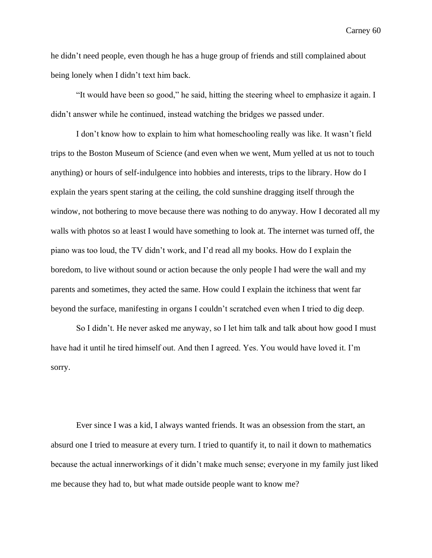he didn't need people, even though he has a huge group of friends and still complained about being lonely when I didn't text him back.

"It would have been so good," he said, hitting the steering wheel to emphasize it again. I didn't answer while he continued, instead watching the bridges we passed under.

I don't know how to explain to him what homeschooling really was like. It wasn't field trips to the Boston Museum of Science (and even when we went, Mum yelled at us not to touch anything) or hours of self-indulgence into hobbies and interests, trips to the library. How do I explain the years spent staring at the ceiling, the cold sunshine dragging itself through the window, not bothering to move because there was nothing to do anyway. How I decorated all my walls with photos so at least I would have something to look at. The internet was turned off, the piano was too loud, the TV didn't work, and I'd read all my books. How do I explain the boredom, to live without sound or action because the only people I had were the wall and my parents and sometimes, they acted the same. How could I explain the itchiness that went far beyond the surface, manifesting in organs I couldn't scratched even when I tried to dig deep.

So I didn't. He never asked me anyway, so I let him talk and talk about how good I must have had it until he tired himself out. And then I agreed. Yes. You would have loved it. I'm sorry.

Ever since I was a kid, I always wanted friends. It was an obsession from the start, an absurd one I tried to measure at every turn. I tried to quantify it, to nail it down to mathematics because the actual innerworkings of it didn't make much sense; everyone in my family just liked me because they had to, but what made outside people want to know me?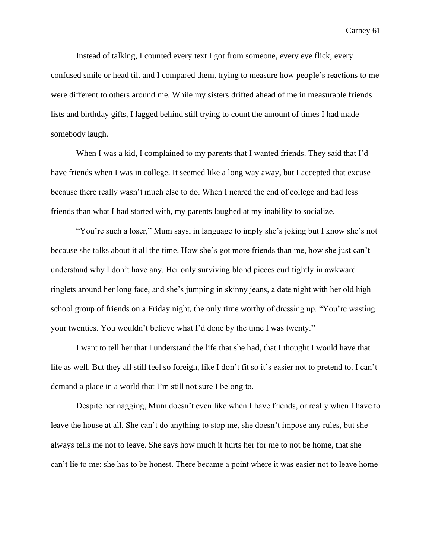Instead of talking, I counted every text I got from someone, every eye flick, every confused smile or head tilt and I compared them, trying to measure how people's reactions to me were different to others around me. While my sisters drifted ahead of me in measurable friends lists and birthday gifts, I lagged behind still trying to count the amount of times I had made somebody laugh.

When I was a kid, I complained to my parents that I wanted friends. They said that I'd have friends when I was in college. It seemed like a long way away, but I accepted that excuse because there really wasn't much else to do. When I neared the end of college and had less friends than what I had started with, my parents laughed at my inability to socialize.

"You're such a loser," Mum says, in language to imply she's joking but I know she's not because she talks about it all the time. How she's got more friends than me, how she just can't understand why I don't have any. Her only surviving blond pieces curl tightly in awkward ringlets around her long face, and she's jumping in skinny jeans, a date night with her old high school group of friends on a Friday night, the only time worthy of dressing up. "You're wasting your twenties. You wouldn't believe what I'd done by the time I was twenty."

I want to tell her that I understand the life that she had, that I thought I would have that life as well. But they all still feel so foreign, like I don't fit so it's easier not to pretend to. I can't demand a place in a world that I'm still not sure I belong to.

Despite her nagging, Mum doesn't even like when I have friends, or really when I have to leave the house at all. She can't do anything to stop me, she doesn't impose any rules, but she always tells me not to leave. She says how much it hurts her for me to not be home, that she can't lie to me: she has to be honest. There became a point where it was easier not to leave home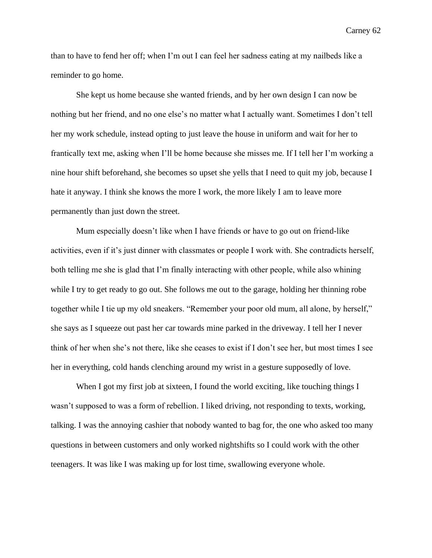than to have to fend her off; when I'm out I can feel her sadness eating at my nailbeds like a reminder to go home.

She kept us home because she wanted friends, and by her own design I can now be nothing but her friend, and no one else's no matter what I actually want. Sometimes I don't tell her my work schedule, instead opting to just leave the house in uniform and wait for her to frantically text me, asking when I'll be home because she misses me. If I tell her I'm working a nine hour shift beforehand, she becomes so upset she yells that I need to quit my job, because I hate it anyway. I think she knows the more I work, the more likely I am to leave more permanently than just down the street.

Mum especially doesn't like when I have friends or have to go out on friend-like activities, even if it's just dinner with classmates or people I work with. She contradicts herself, both telling me she is glad that I'm finally interacting with other people, while also whining while I try to get ready to go out. She follows me out to the garage, holding her thinning robe together while I tie up my old sneakers. "Remember your poor old mum, all alone, by herself," she says as I squeeze out past her car towards mine parked in the driveway. I tell her I never think of her when she's not there, like she ceases to exist if I don't see her, but most times I see her in everything, cold hands clenching around my wrist in a gesture supposedly of love.

When I got my first job at sixteen, I found the world exciting, like touching things I wasn't supposed to was a form of rebellion. I liked driving, not responding to texts, working, talking. I was the annoying cashier that nobody wanted to bag for, the one who asked too many questions in between customers and only worked nightshifts so I could work with the other teenagers. It was like I was making up for lost time, swallowing everyone whole.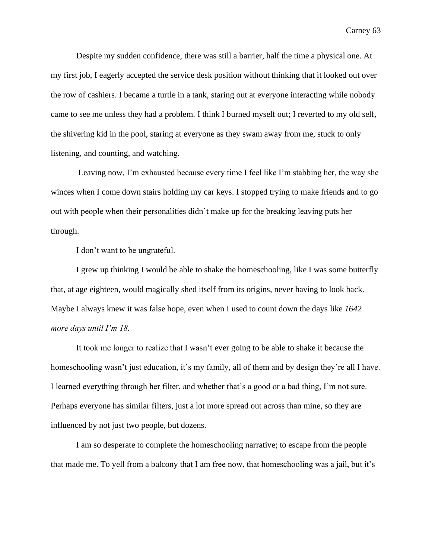Despite my sudden confidence, there was still a barrier, half the time a physical one. At my first job, I eagerly accepted the service desk position without thinking that it looked out over the row of cashiers. I became a turtle in a tank, staring out at everyone interacting while nobody came to see me unless they had a problem. I think I burned myself out; I reverted to my old self, the shivering kid in the pool, staring at everyone as they swam away from me, stuck to only listening, and counting, and watching.

Leaving now, I'm exhausted because every time I feel like I'm stabbing her, the way she winces when I come down stairs holding my car keys. I stopped trying to make friends and to go out with people when their personalities didn't make up for the breaking leaving puts her through.

I don't want to be ungrateful.

I grew up thinking I would be able to shake the homeschooling, like I was some butterfly that, at age eighteen, would magically shed itself from its origins, never having to look back. Maybe I always knew it was false hope, even when I used to count down the days like *1642 more days until I'm 18.* 

It took me longer to realize that I wasn't ever going to be able to shake it because the homeschooling wasn't just education, it's my family, all of them and by design they're all I have. I learned everything through her filter, and whether that's a good or a bad thing, I'm not sure. Perhaps everyone has similar filters, just a lot more spread out across than mine, so they are influenced by not just two people, but dozens.

I am so desperate to complete the homeschooling narrative; to escape from the people that made me. To yell from a balcony that I am free now, that homeschooling was a jail, but it's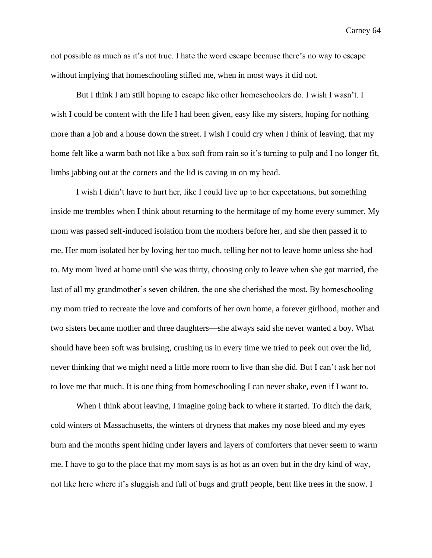not possible as much as it's not true. I hate the word escape because there's no way to escape without implying that homeschooling stifled me, when in most ways it did not.

But I think I am still hoping to escape like other homeschoolers do. I wish I wasn't. I wish I could be content with the life I had been given, easy like my sisters, hoping for nothing more than a job and a house down the street. I wish I could cry when I think of leaving, that my home felt like a warm bath not like a box soft from rain so it's turning to pulp and I no longer fit, limbs jabbing out at the corners and the lid is caving in on my head.

I wish I didn't have to hurt her, like I could live up to her expectations, but something inside me trembles when I think about returning to the hermitage of my home every summer. My mom was passed self-induced isolation from the mothers before her, and she then passed it to me. Her mom isolated her by loving her too much, telling her not to leave home unless she had to. My mom lived at home until she was thirty, choosing only to leave when she got married, the last of all my grandmother's seven children, the one she cherished the most. By homeschooling my mom tried to recreate the love and comforts of her own home, a forever girlhood, mother and two sisters became mother and three daughters—she always said she never wanted a boy. What should have been soft was bruising, crushing us in every time we tried to peek out over the lid, never thinking that we might need a little more room to live than she did. But I can't ask her not to love me that much. It is one thing from homeschooling I can never shake, even if I want to.

When I think about leaving, I imagine going back to where it started. To ditch the dark, cold winters of Massachusetts, the winters of dryness that makes my nose bleed and my eyes burn and the months spent hiding under layers and layers of comforters that never seem to warm me. I have to go to the place that my mom says is as hot as an oven but in the dry kind of way, not like here where it's sluggish and full of bugs and gruff people, bent like trees in the snow. I